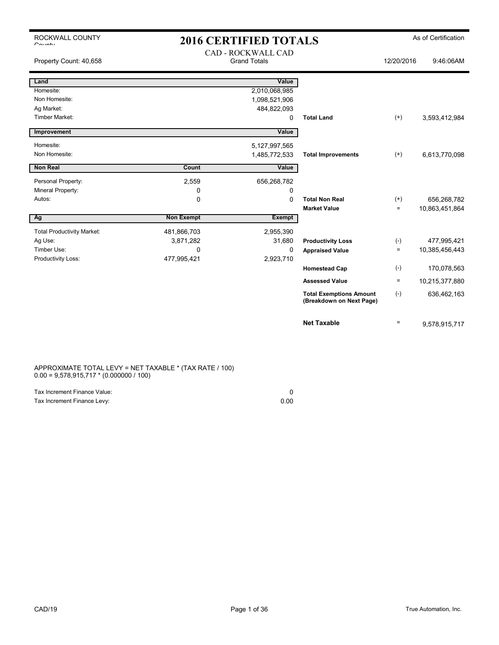| ROCKWALL COUNTY<br>$O_{\text{multi}}$ |                   | <b>2016 CERTIFIED TOTALS</b>              |                                                            |                   | As of Certification |
|---------------------------------------|-------------------|-------------------------------------------|------------------------------------------------------------|-------------------|---------------------|
| Property Count: 40,658                |                   | CAD - ROCKWALL CAD<br><b>Grand Totals</b> |                                                            | 12/20/2016        | 9:46:06AM           |
| Land                                  |                   | Value                                     |                                                            |                   |                     |
| Homesite:                             |                   | 2,010,068,985                             |                                                            |                   |                     |
| Non Homesite:                         |                   | 1,098,521,906                             |                                                            |                   |                     |
| Ag Market:                            |                   | 484,822,093                               |                                                            |                   |                     |
| <b>Timber Market:</b>                 |                   | 0                                         | <b>Total Land</b>                                          | $(+)$             | 3,593,412,984       |
| Improvement                           |                   | Value                                     |                                                            |                   |                     |
| Homesite:                             |                   | 5,127,997,565                             |                                                            |                   |                     |
| Non Homesite:                         |                   | 1,485,772,533                             | <b>Total Improvements</b>                                  | $(+)$             | 6,613,770,098       |
|                                       |                   |                                           |                                                            |                   |                     |
| <b>Non Real</b>                       | Count             | Value                                     |                                                            |                   |                     |
| Personal Property:                    | 2,559             | 656,268,782                               |                                                            |                   |                     |
| Mineral Property:                     | 0                 | 0                                         |                                                            |                   |                     |
| Autos:                                | 0                 | 0                                         | <b>Total Non Real</b>                                      | $^{(+)}$          | 656,268,782         |
|                                       |                   |                                           | <b>Market Value</b>                                        | $\qquad \qquad =$ | 10,863,451,864      |
| Ag                                    | <b>Non Exempt</b> | <b>Exempt</b>                             |                                                            |                   |                     |
| <b>Total Productivity Market:</b>     | 481,866,703       | 2,955,390                                 |                                                            |                   |                     |
| Ag Use:                               | 3,871,282         | 31,680                                    | <b>Productivity Loss</b>                                   | $(-)$             | 477,995,421         |
| Timber Use:                           | 0                 | 0                                         | <b>Appraised Value</b>                                     | $\qquad \qquad =$ | 10,385,456,443      |
| Productivity Loss:                    | 477,995,421       | 2,923,710                                 |                                                            |                   |                     |
|                                       |                   |                                           | <b>Homestead Cap</b>                                       | $(-)$             | 170,078,563         |
|                                       |                   |                                           | <b>Assessed Value</b>                                      | $\equiv$          | 10,215,377,880      |
|                                       |                   |                                           | <b>Total Exemptions Amount</b><br>(Breakdown on Next Page) | $(-)$             | 636,462,163         |
|                                       |                   |                                           | <b>Net Taxable</b>                                         | $\qquad \qquad =$ | 9,578,915,717       |

### APPROXIMATE TOTAL LEVY = NET TAXABLE \* (TAX RATE / 100) 0.00 = 9,578,915,717 \* (0.000000 / 100)

| Tax Increment Finance Value: |      |
|------------------------------|------|
| Tax Increment Finance Levy:  | 0.00 |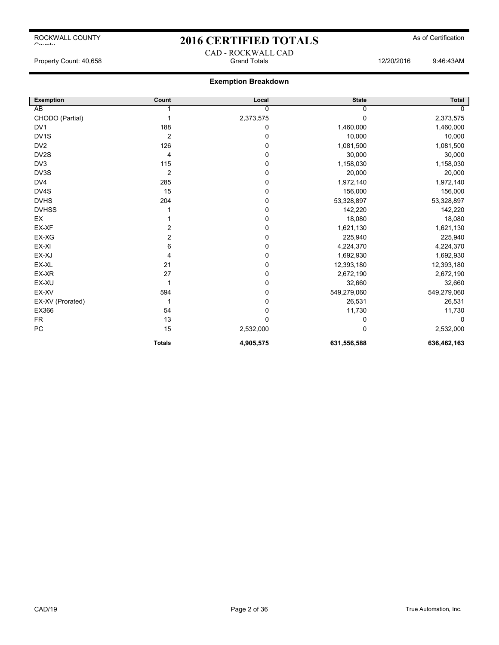## 2016 CERTIFIED TOTALS As of Certification

Property Count: 40,658 Grand Totals 12/20/2016 9:46:43AM

### **Exemption Breakdown**

CAD - ROCKWALL CAD

| <b>Exemption</b> | Count          | Local       | <b>State</b> | <b>Total</b> |
|------------------|----------------|-------------|--------------|--------------|
| AB               |                | 0           |              | O            |
| CHODO (Partial)  |                | 2,373,575   | $\Omega$     | 2,373,575    |
| DV <sub>1</sub>  | 188            | 0           | 1,460,000    | 1,460,000    |
| DV1S             | $\overline{2}$ | 0           | 10,000       | 10,000       |
| DV <sub>2</sub>  | 126            | $\mathbf 0$ | 1,081,500    | 1,081,500    |
| DV2S             | 4              | 0           | 30,000       | 30,000       |
| DV <sub>3</sub>  | 115            | 0           | 1,158,030    | 1,158,030    |
| DV3S             | $\overline{2}$ | 0           | 20,000       | 20,000       |
| DV4              | 285            | $\mathbf 0$ | 1,972,140    | 1,972,140    |
| DV4S             | 15             | 0           | 156,000      | 156,000      |
| <b>DVHS</b>      | 204            | 0           | 53,328,897   | 53,328,897   |
| <b>DVHSS</b>     |                | 0           | 142,220      | 142,220      |
| EX               |                | 0           | 18,080       | 18,080       |
| EX-XF            | 2              | $\mathbf 0$ | 1,621,130    | 1,621,130    |
| EX-XG            | 2              | 0           | 225,940      | 225,940      |
| EX-XI            | 6              | $\mathbf 0$ | 4,224,370    | 4,224,370    |
| EX-XJ            | 4              | 0           | 1,692,930    | 1,692,930    |
| EX-XL            | 21             | 0           | 12,393,180   | 12,393,180   |
| EX-XR            | 27             | 0           | 2,672,190    | 2,672,190    |
| EX-XU            |                | $\mathbf 0$ | 32,660       | 32,660       |
| EX-XV            | 594            | 0           | 549,279,060  | 549,279,060  |
| EX-XV (Prorated) |                | 0           | 26,531       | 26,531       |
| EX366            | 54             | 0           | 11,730       | 11,730       |
| <b>FR</b>        | 13             | $\mathbf 0$ | 0            | 0            |
| ${\sf PC}$       | 15             | 2,532,000   | 0            | 2,532,000    |
|                  | <b>Totals</b>  | 4,905,575   | 631,556,588  | 636,462,163  |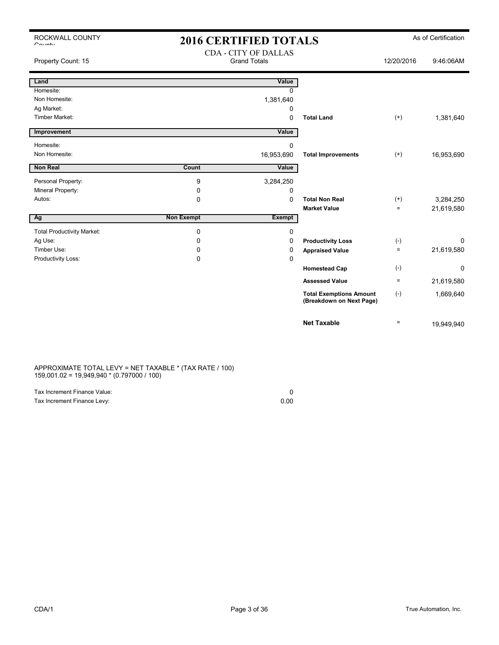| ROCKWALL COUNTY              |  |
|------------------------------|--|
| $C_{\alpha i},\ldots,\ldots$ |  |

## 2016 CERTIFIED TOTALS As of Certification

| Property Count: 15                | <b>CDA - CITY OF DALLAS</b><br><b>Grand Totals</b> |              | 12/20/2016                                                 | 9:46:06AM         |            |
|-----------------------------------|----------------------------------------------------|--------------|------------------------------------------------------------|-------------------|------------|
| Land                              |                                                    | Value        |                                                            |                   |            |
| Homesite:                         |                                                    | <sup>0</sup> |                                                            |                   |            |
| Non Homesite:                     |                                                    | 1,381,640    |                                                            |                   |            |
| Ag Market:                        |                                                    | 0            |                                                            |                   |            |
| <b>Timber Market:</b>             |                                                    | $\Omega$     | <b>Total Land</b>                                          | $^{(+)}$          | 1,381,640  |
| Improvement                       |                                                    | Value        |                                                            |                   |            |
| Homesite:                         |                                                    | 0            |                                                            |                   |            |
| Non Homesite:                     |                                                    | 16,953,690   | <b>Total Improvements</b>                                  | $(+)$             | 16,953,690 |
| <b>Non Real</b>                   | Count                                              | Value        |                                                            |                   |            |
| Personal Property:                | 9                                                  | 3,284,250    |                                                            |                   |            |
| Mineral Property:                 | $\mathbf 0$                                        | 0            |                                                            |                   |            |
| Autos:                            | 0                                                  | $\Omega$     | <b>Total Non Real</b>                                      | $(+)$             | 3,284,250  |
|                                   |                                                    |              | <b>Market Value</b>                                        | $\equiv$          | 21,619,580 |
| Ag                                | <b>Non Exempt</b>                                  | Exempt       |                                                            |                   |            |
| <b>Total Productivity Market:</b> | 0                                                  | 0            |                                                            |                   |            |
| Ag Use:                           | 0                                                  | 0            | <b>Productivity Loss</b>                                   | $(-)$             | $\Omega$   |
| Timber Use:                       | 0                                                  | 0            | <b>Appraised Value</b>                                     | $\equiv$          | 21,619,580 |
| Productivity Loss:                | $\mathbf 0$                                        | 0            |                                                            |                   |            |
|                                   |                                                    |              | <b>Homestead Cap</b>                                       | $(-)$             | $\Omega$   |
|                                   |                                                    |              | <b>Assessed Value</b>                                      | $\qquad \qquad =$ | 21,619,580 |
|                                   |                                                    |              | <b>Total Exemptions Amount</b><br>(Breakdown on Next Page) | $(-)$             | 1,669,640  |
|                                   |                                                    |              | <b>Net Taxable</b>                                         | $=$               | 19,949,940 |

APPROXIMATE TOTAL LEVY = NET TAXABLE \* (TAX RATE / 100) 159,001.02 = 19,949,940 \* (0.797000 / 100)

| Tax Increment Finance Value: |      |
|------------------------------|------|
| Tax Increment Finance Levy:  | 0.00 |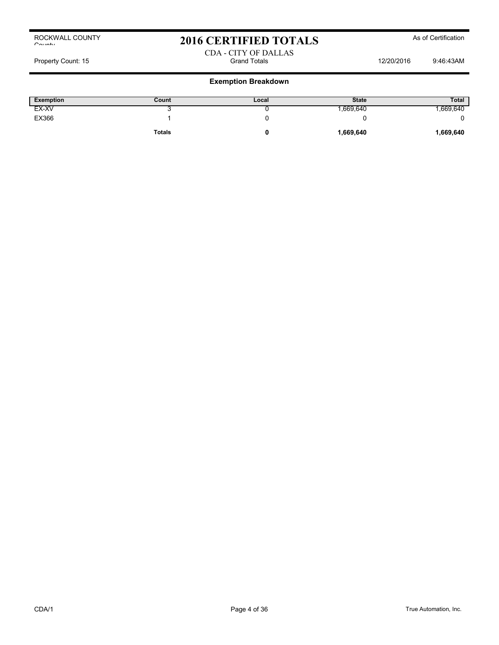## 2016 CERTIFIED TOTALS As of Certification

### CDA - CITY OF DALLAS Property Count: 15 **Property Count: 15** Grand Totals 12/20/2016 9:46:43AM

| <b>Exemption</b> | Count         | Local | <b>State</b> | <b>Total</b> |
|------------------|---------------|-------|--------------|--------------|
| EX-XV            | ີ             |       | ,669,640     | .669,640     |
| EX366            |               |       |              |              |
|                  | <b>Totals</b> |       | 1,669,640    | 1,669,640    |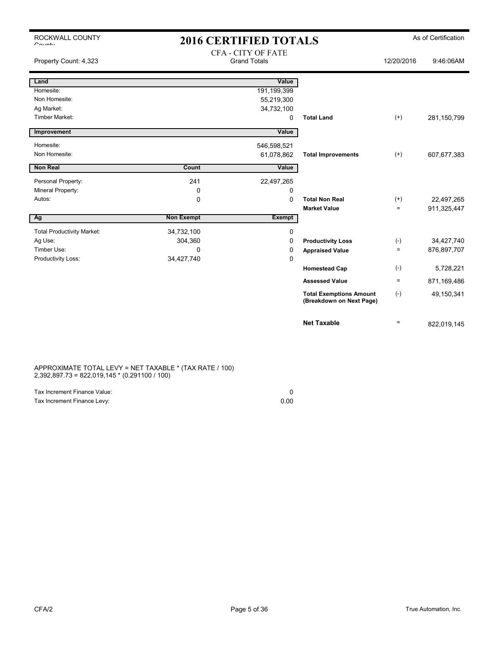## 2016 CERTIFIED TOTALS As of Certification CEA CITY OF FATE

| Property Count: 4,323             |                   | CFA - CITY OF FAIL<br><b>Grand Totals</b> |                                                            | 12/20/2016      | 9:46:06AM   |
|-----------------------------------|-------------------|-------------------------------------------|------------------------------------------------------------|-----------------|-------------|
| Land                              |                   | Value                                     |                                                            |                 |             |
| Homesite:                         |                   | 191,199,399                               |                                                            |                 |             |
| Non Homesite:                     |                   | 55,219,300                                |                                                            |                 |             |
| Ag Market:                        |                   | 34,732,100                                |                                                            |                 |             |
| <b>Timber Market:</b>             |                   | 0                                         | <b>Total Land</b>                                          | $^{(+)}$        | 281,150,799 |
| Improvement                       |                   | Value                                     |                                                            |                 |             |
| Homesite:                         |                   | 546,598,521                               |                                                            |                 |             |
| Non Homesite:                     |                   | 61,078,862                                | <b>Total Improvements</b>                                  | $(+)$           | 607,677,383 |
| Non Real                          | Count             | Value                                     |                                                            |                 |             |
|                                   |                   |                                           |                                                            |                 |             |
| Personal Property:                | 241               | 22,497,265                                |                                                            |                 |             |
| Mineral Property:                 | 0                 | 0                                         |                                                            |                 |             |
| Autos:                            | 0                 | 0                                         | <b>Total Non Real</b>                                      | $(+)$           | 22,497,265  |
|                                   |                   |                                           | <b>Market Value</b>                                        | $=$             | 911,325,447 |
| Ag                                | <b>Non Exempt</b> | <b>Exempt</b>                             |                                                            |                 |             |
| <b>Total Productivity Market:</b> | 34,732,100        | 0                                         |                                                            |                 |             |
| Ag Use:                           | 304,360           | 0                                         | <b>Productivity Loss</b>                                   | $(-)$           | 34,427,740  |
| Timber Use:                       | $\Omega$          | 0                                         | <b>Appraised Value</b>                                     | $\equiv$        | 876,897,707 |
| Productivity Loss:                | 34,427,740        | 0                                         |                                                            |                 |             |
|                                   |                   |                                           | <b>Homestead Cap</b>                                       | $(-)$           | 5,728,221   |
|                                   |                   |                                           | <b>Assessed Value</b>                                      | $\quad \  \  =$ | 871,169,486 |
|                                   |                   |                                           | <b>Total Exemptions Amount</b><br>(Breakdown on Next Page) | $(-)$           | 49,150,341  |
|                                   |                   |                                           | <b>Net Taxable</b>                                         | $\equiv$        | 822,019,145 |

APPROXIMATE TOTAL LEVY = NET TAXABLE \* (TAX RATE / 100) 2,392,897.73 = 822,019,145 \* (0.291100 / 100)

| Tax Increment Finance Value: |      |
|------------------------------|------|
| Tax Increment Finance Levy:  | 0.00 |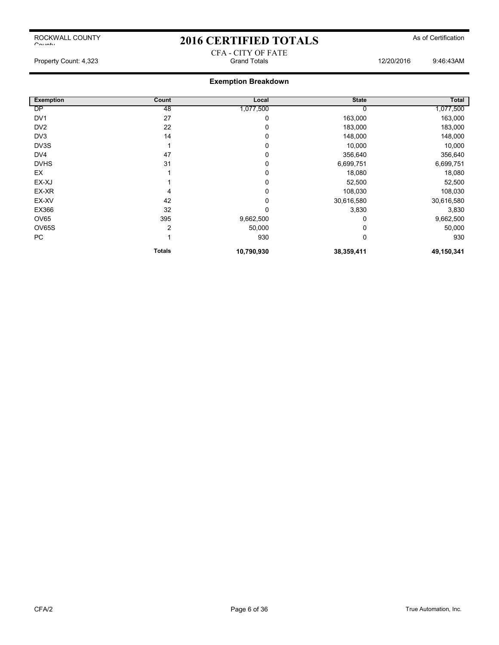## 2016 CERTIFIED TOTALS As of Certification CFA - CITY OF FATE

Property Count: 4,323 Grand Totals 12/20/2016 9:46:43AM

| <b>Exemption</b> | Count         | Local      | <b>State</b> | Total      |
|------------------|---------------|------------|--------------|------------|
| <b>DP</b>        | 48            | 1,077,500  |              | 1,077,500  |
| DV <sub>1</sub>  | 27            | 0          | 163,000      | 163,000    |
| DV <sub>2</sub>  | 22            | 0          | 183,000      | 183,000    |
| DV3              | 14            | 0          | 148,000      | 148,000    |
| DV3S             |               | 0          | 10,000       | 10,000     |
| DV <sub>4</sub>  | 47            | 0          | 356,640      | 356,640    |
| <b>DVHS</b>      | 31            | 0          | 6,699,751    | 6,699,751  |
| EX               |               | 0          | 18,080       | 18,080     |
| EX-XJ            |               | $\Omega$   | 52,500       | 52,500     |
| EX-XR            | 4             | $\Omega$   | 108,030      | 108,030    |
| EX-XV            | 42            | 0          | 30,616,580   | 30,616,580 |
| EX366            | 32            | 0          | 3,830        | 3,830      |
| OV65             | 395           | 9,662,500  |              | 9,662,500  |
| <b>OV65S</b>     | 2             | 50,000     |              | 50,000     |
| PC               |               | 930        | 0            | 930        |
|                  | <b>Totals</b> | 10,790,930 | 38,359,411   | 49,150,341 |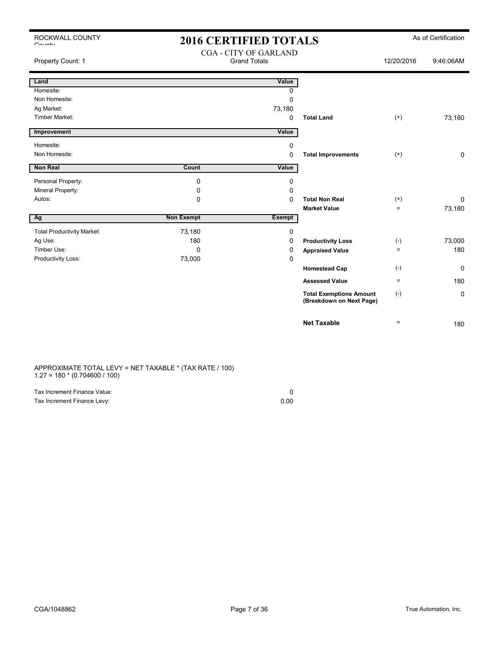## 2016 CERTIFIED TOTALS As of Certification CGA - CITY OF GARLAND

| Property Count: 1                 |                   | CUA - CITT OF UARLAND<br><b>Grand Totals</b> |                                                            | 12/20/2016                     | 9:46:06AM    |
|-----------------------------------|-------------------|----------------------------------------------|------------------------------------------------------------|--------------------------------|--------------|
| Land                              |                   | Value                                        |                                                            |                                |              |
| Homesite:                         |                   | 0                                            |                                                            |                                |              |
| Non Homesite:                     |                   | $\mathbf 0$                                  |                                                            |                                |              |
| Ag Market:                        |                   | 73,180                                       |                                                            |                                |              |
| <b>Timber Market:</b>             |                   | $\mathbf 0$                                  | <b>Total Land</b>                                          | $^{(+)}$                       | 73,180       |
| Improvement                       |                   | Value                                        |                                                            |                                |              |
| Homesite:                         |                   | 0                                            |                                                            |                                |              |
| Non Homesite:                     |                   | $\mathbf 0$                                  | <b>Total Improvements</b>                                  | $^{(+)}$                       | $\mathbf 0$  |
| Non Real                          | Count             | Value                                        |                                                            |                                |              |
| Personal Property:                | 0                 | 0                                            |                                                            |                                |              |
| Mineral Property:                 | 0                 | 0                                            |                                                            |                                |              |
| Autos:                            | 0                 | $\Omega$                                     | <b>Total Non Real</b>                                      | $^{(+)}$                       | $\mathbf{0}$ |
|                                   |                   |                                              | <b>Market Value</b>                                        | $\equiv$                       | 73,180       |
| Ag                                | <b>Non Exempt</b> | <b>Exempt</b>                                |                                                            |                                |              |
| <b>Total Productivity Market:</b> | 73,180            | 0                                            |                                                            |                                |              |
| Ag Use:                           | 180               | $\Omega$                                     | <b>Productivity Loss</b>                                   | $(-)$                          | 73,000       |
| Timber Use:                       | $\Omega$          | 0                                            | <b>Appraised Value</b>                                     | $\qquad \qquad =$              | 180          |
| Productivity Loss:                | 73,000            | 0                                            |                                                            |                                |              |
|                                   |                   |                                              | <b>Homestead Cap</b>                                       | $(-)$                          | 0            |
|                                   |                   |                                              | <b>Assessed Value</b>                                      | $\equiv$                       | 180          |
|                                   |                   |                                              | <b>Total Exemptions Amount</b><br>(Breakdown on Next Page) | $(-)$                          | $\mathbf 0$  |
|                                   |                   |                                              | <b>Net Taxable</b>                                         | $\qquad \qquad =\qquad \qquad$ | 180          |

APPROXIMATE TOTAL LEVY = NET TAXABLE \* (TAX RATE / 100) 1.27 = 180 \* (0.704600 / 100)

| Tax Increment Finance Value: |      |
|------------------------------|------|
| Tax Increment Finance Levy:  | 0.00 |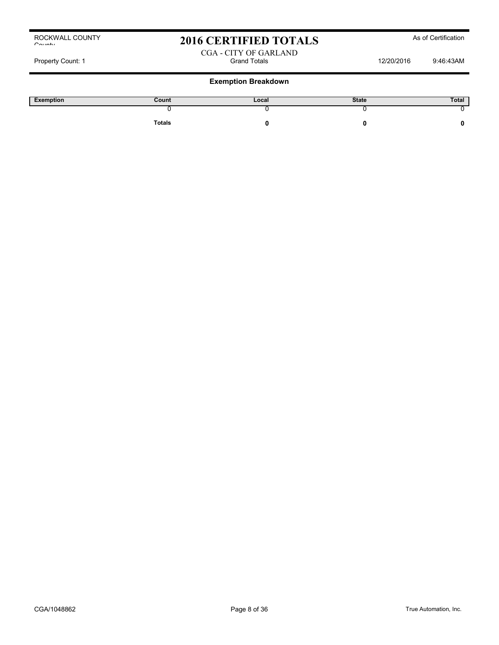## 2016 CERTIFIED TOTALS As of Certification

CGA - CITY OF GARLAND Property Count: 1 Count: 1 Count: 1 Count: 1 Count: 1 Count: 1 Count: 1 Count: 1 Count: 1 Count: 1 Count: 1 Count: 1 Count: 1 Count: 1 Count: 1 Count: 1 Count: 1 Count: 1 Count: 1 Count: 1 Count: 1 Count: 1 Count: 1 Count:

| Exemption | Count         | Local | <b>State</b> | Total |
|-----------|---------------|-------|--------------|-------|
|           |               |       |              |       |
|           | <b>Totals</b> |       |              |       |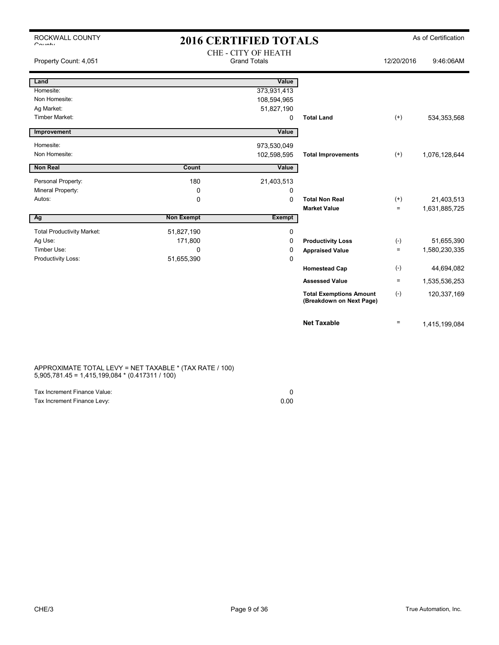| ROCKWALL COUNTY<br>$O_{\text{multi}}$ |                   | <b>2016 CERTIFIED TOTALS</b>               |                                                            |                   | As of Certification |
|---------------------------------------|-------------------|--------------------------------------------|------------------------------------------------------------|-------------------|---------------------|
| Property Count: 4,051                 |                   | CHE - CITY OF HEATH<br><b>Grand Totals</b> |                                                            | 12/20/2016        | 9:46:06AM           |
| Land                                  |                   | Value                                      |                                                            |                   |                     |
| Homesite:                             |                   | 373,931,413                                |                                                            |                   |                     |
| Non Homesite:                         |                   | 108,594,965                                |                                                            |                   |                     |
| Ag Market:                            |                   | 51,827,190                                 |                                                            |                   |                     |
| <b>Timber Market:</b>                 |                   | 0                                          | <b>Total Land</b>                                          | $(+)$             | 534, 353, 568       |
| Improvement                           |                   | Value                                      |                                                            |                   |                     |
| Homesite:                             |                   | 973,530,049                                |                                                            |                   |                     |
| Non Homesite:                         |                   | 102,598,595                                | <b>Total Improvements</b>                                  | $(+)$             | 1,076,128,644       |
|                                       |                   |                                            |                                                            |                   |                     |
| <b>Non Real</b>                       | Count             | Value                                      |                                                            |                   |                     |
| Personal Property:                    | 180               | 21,403,513                                 |                                                            |                   |                     |
| Mineral Property:                     | 0                 | 0                                          |                                                            |                   |                     |
| Autos:                                | 0                 | $\Omega$                                   | <b>Total Non Real</b>                                      | $(+)$             | 21,403,513          |
|                                       |                   |                                            | <b>Market Value</b>                                        | $\qquad \qquad =$ | 1,631,885,725       |
| Ag                                    | <b>Non Exempt</b> | <b>Exempt</b>                              |                                                            |                   |                     |
| <b>Total Productivity Market:</b>     | 51,827,190        | 0                                          |                                                            |                   |                     |
| Ag Use:                               | 171,800           | 0                                          | <b>Productivity Loss</b>                                   | $(-)$             | 51,655,390          |
| Timber Use:                           | 0                 | 0                                          | <b>Appraised Value</b>                                     | $\quad \  \  =$   | 1,580,230,335       |
| Productivity Loss:                    | 51,655,390        | 0                                          |                                                            |                   |                     |
|                                       |                   |                                            | <b>Homestead Cap</b>                                       | $(-)$             | 44,694,082          |
|                                       |                   |                                            | <b>Assessed Value</b>                                      | $\equiv$          | 1,535,536,253       |
|                                       |                   |                                            | <b>Total Exemptions Amount</b><br>(Breakdown on Next Page) | $(-)$             | 120,337,169         |

APPROXIMATE TOTAL LEVY = NET TAXABLE \* (TAX RATE / 100) 5,905,781.45 = 1,415,199,084 \* (0.417311 / 100)

| Tax Increment Finance Value: |      |
|------------------------------|------|
| Tax Increment Finance Levy:  | 0.00 |

**Net Taxable**  $=$  1,415,199,084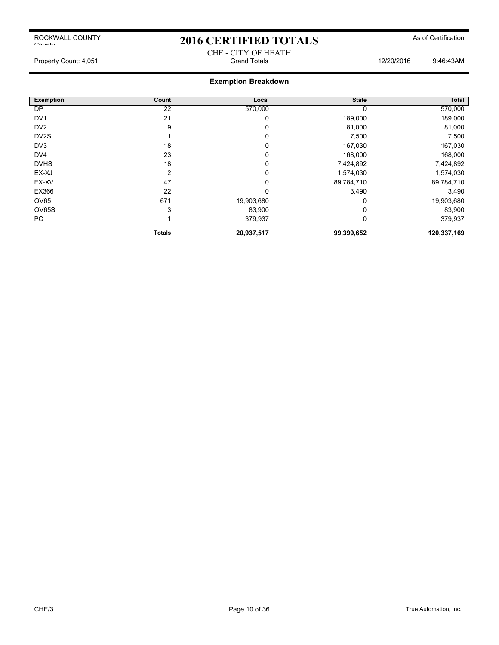## 2016 CERTIFIED TOTALS As of Certification

Property Count: 4,051 **Count: 4,051** Grand Totals **Count: 4,051** 9:46:43AM

## **Exemption Breakdown**

| <b>Exemption</b>  | Count         | Local      | <b>State</b> | Total       |
|-------------------|---------------|------------|--------------|-------------|
| <b>DP</b>         | 22            | 570,000    |              | 570,000     |
| DV <sub>1</sub>   | 21            | 0          | 189,000      | 189,000     |
| DV <sub>2</sub>   | 9             | 0          | 81,000       | 81,000      |
| DV <sub>2</sub> S |               | 0          | 7,500        | 7,500       |
| DV3               | 18            | 0          | 167,030      | 167,030     |
| DV <sub>4</sub>   | 23            | 0          | 168,000      | 168,000     |
| <b>DVHS</b>       | 18            | 0          | 7,424,892    | 7,424,892   |
| EX-XJ             | 2             | 0          | 1,574,030    | 1,574,030   |
| EX-XV             | 47            | 0          | 89,784,710   | 89,784,710  |
| EX366             | 22            | $\Omega$   | 3,490        | 3,490       |
| OV65              | 671           | 19,903,680 |              | 19,903,680  |
| OV65S             | 3             | 83,900     |              | 83,900      |
| PC                |               | 379,937    | 0            | 379,937     |
|                   | <b>Totals</b> | 20,937,517 | 99,399,652   | 120,337,169 |

CHE - CITY OF HEATH<br>Grand Totals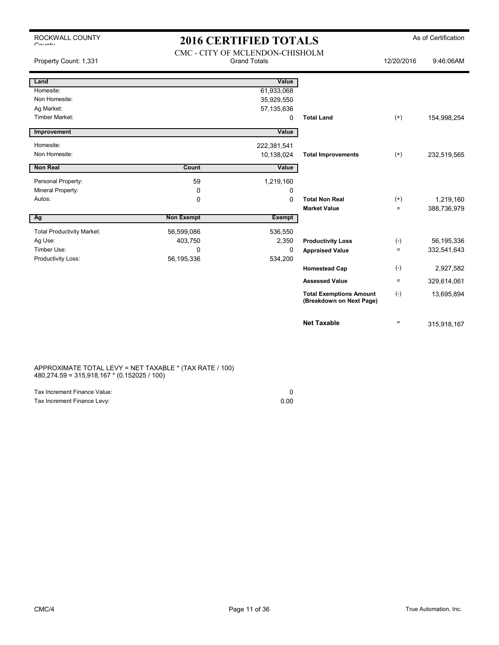## 2016 CERTIFIED TOTALS As of Certification

| Property Count: 1,331             |                   | CMC - CITY OF MCLENDON-CHISHOLM<br><b>Grand Totals</b> |                                                            | 12/20/2016        | 9:46:06AM   |
|-----------------------------------|-------------------|--------------------------------------------------------|------------------------------------------------------------|-------------------|-------------|
| Land                              |                   | Value                                                  |                                                            |                   |             |
| Homesite:                         |                   | 61,933,068                                             |                                                            |                   |             |
| Non Homesite:                     |                   | 35,929,550                                             |                                                            |                   |             |
| Ag Market:                        |                   | 57,135,636                                             |                                                            |                   |             |
| <b>Timber Market:</b>             |                   | 0                                                      | <b>Total Land</b>                                          | $^{(+)}$          | 154,998,254 |
| Improvement                       |                   | Value                                                  |                                                            |                   |             |
| Homesite:                         |                   | 222,381,541                                            |                                                            |                   |             |
| Non Homesite:                     |                   | 10,138,024                                             | <b>Total Improvements</b>                                  | $^{(+)}$          | 232,519,565 |
| <b>Non Real</b>                   | Count             | Value                                                  |                                                            |                   |             |
| Personal Property:                | 59                | 1,219,160                                              |                                                            |                   |             |
| Mineral Property:                 | 0                 | 0                                                      |                                                            |                   |             |
| Autos:                            | $\mathbf 0$       | $\mathbf 0$                                            | <b>Total Non Real</b>                                      | $^{(+)}$          | 1,219,160   |
|                                   |                   |                                                        | <b>Market Value</b>                                        | $\equiv$          | 388,736,979 |
| Ag                                | <b>Non Exempt</b> | <b>Exempt</b>                                          |                                                            |                   |             |
| <b>Total Productivity Market:</b> | 56,599,086        | 536,550                                                |                                                            |                   |             |
| Ag Use:                           | 403,750           | 2,350                                                  | <b>Productivity Loss</b>                                   | $(-)$             | 56,195,336  |
| Timber Use:                       | $\Omega$          | 0                                                      | <b>Appraised Value</b>                                     | $=$               | 332,541,643 |
| Productivity Loss:                | 56,195,336        | 534,200                                                |                                                            |                   |             |
|                                   |                   |                                                        | <b>Homestead Cap</b>                                       | $(-)$             | 2,927,582   |
|                                   |                   |                                                        | <b>Assessed Value</b>                                      | $\equiv$          | 329,614,061 |
|                                   |                   |                                                        | <b>Total Exemptions Amount</b><br>(Breakdown on Next Page) | $(-)$             | 13,695,894  |
|                                   |                   |                                                        | <b>Net Taxable</b>                                         | $\qquad \qquad =$ | 315,918,167 |

APPROXIMATE TOTAL LEVY = NET TAXABLE \* (TAX RATE / 100) 480,274.59 = 315,918,167 \* (0.152025 / 100)

| Tax Increment Finance Value: |      |
|------------------------------|------|
| Tax Increment Finance Levy:  | 0.00 |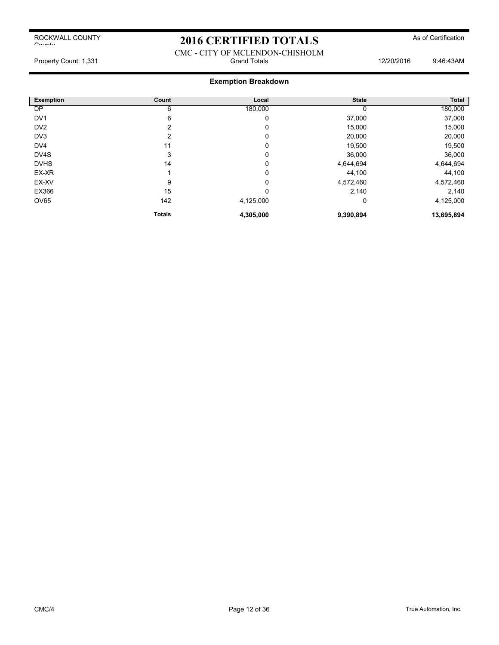## 2016 CERTIFIED TOTALS As of Certification

### CMC - CITY OF MCLENDON-CHISHOLM Property Count: 1,331 **Count: 1,331** Grand Totals **12/20/2016** 9:46:43AM

| <b>Exemption</b>  | Count         | Local     | <b>State</b> | <b>Total</b> |
|-------------------|---------------|-----------|--------------|--------------|
| <b>DP</b>         | 6             | 180,000   |              | 180,000      |
| DV <sub>1</sub>   | 6             | 0         | 37,000       | 37,000       |
| DV <sub>2</sub>   | 2             | 0         | 15,000       | 15,000       |
| DV3               | 2             | 0         | 20,000       | 20,000       |
| DV <sub>4</sub>   | 11            | 0         | 19,500       | 19,500       |
| DV <sub>4</sub> S | 3             | 0         | 36,000       | 36,000       |
| <b>DVHS</b>       | 14            | $\Omega$  | 4,644,694    | 4,644,694    |
| EX-XR             |               | 0         | 44,100       | 44,100       |
| EX-XV             | 9             | 0         | 4,572,460    | 4,572,460    |
| EX366             | 15            | 0         | 2,140        | 2,140        |
| OV65              | 142           | 4,125,000 | 0            | 4,125,000    |
|                   | <b>Totals</b> | 4,305,000 | 9,390,894    | 13,695,894   |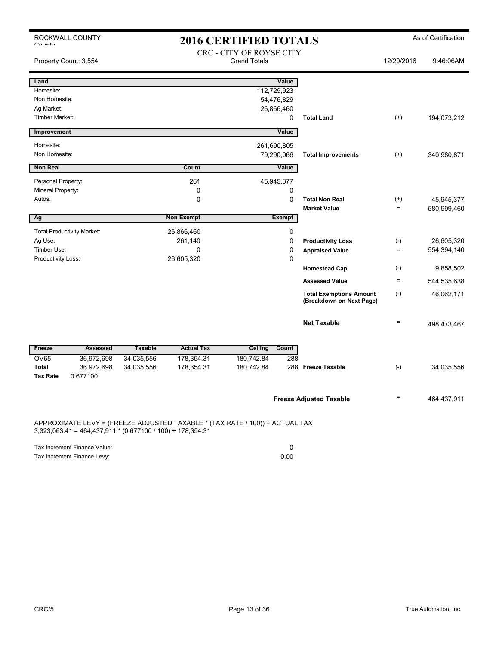| $C_{\text{right}}$           | ROCKWALL COUNTY                                              | <b>2016 CERTIFIED TOTALS</b> |                                                                              |                                                 |                  |                                                            |                   | As of Certification       |
|------------------------------|--------------------------------------------------------------|------------------------------|------------------------------------------------------------------------------|-------------------------------------------------|------------------|------------------------------------------------------------|-------------------|---------------------------|
|                              | Property Count: 3,554                                        |                              |                                                                              | CRC - CITY OF ROYSE CITY<br><b>Grand Totals</b> |                  |                                                            | 12/20/2016        | 9:46:06AM                 |
| Land                         |                                                              |                              |                                                                              |                                                 | Value            |                                                            |                   |                           |
| Homesite:                    |                                                              |                              |                                                                              |                                                 | 112,729,923      |                                                            |                   |                           |
| Non Homesite:                |                                                              |                              |                                                                              |                                                 | 54,476,829       |                                                            |                   |                           |
| Ag Market:<br>Timber Market: |                                                              |                              |                                                                              |                                                 | 26,866,460       |                                                            |                   |                           |
|                              |                                                              |                              |                                                                              |                                                 | 0                | <b>Total Land</b>                                          | $(+)$             | 194,073,212               |
| Improvement                  |                                                              |                              |                                                                              |                                                 | Value            |                                                            |                   |                           |
| Homesite:                    |                                                              |                              |                                                                              |                                                 | 261,690,805      |                                                            |                   |                           |
| Non Homesite:                |                                                              |                              |                                                                              |                                                 | 79,290,066       | <b>Total Improvements</b>                                  | $(+)$             | 340,980,871               |
| <b>Non Real</b>              |                                                              |                              | Count                                                                        |                                                 | Value            |                                                            |                   |                           |
|                              |                                                              |                              |                                                                              |                                                 |                  |                                                            |                   |                           |
| Personal Property:           |                                                              |                              | 261                                                                          |                                                 | 45,945,377       |                                                            |                   |                           |
| Mineral Property:<br>Autos:  |                                                              |                              | $\mathbf 0$<br>0                                                             |                                                 | 0<br>$\mathbf 0$ | <b>Total Non Real</b>                                      |                   |                           |
|                              |                                                              |                              |                                                                              |                                                 |                  | <b>Market Value</b>                                        | $^{(+)}$<br>$=$   | 45,945,377<br>580,999,460 |
| Ag                           |                                                              |                              | <b>Non Exempt</b>                                                            |                                                 | <b>Exempt</b>    |                                                            |                   |                           |
|                              |                                                              |                              |                                                                              |                                                 |                  |                                                            |                   |                           |
| Ag Use:                      | <b>Total Productivity Market:</b>                            |                              | 26,866,460<br>261,140                                                        |                                                 | 0<br>$\mathbf 0$ | <b>Productivity Loss</b>                                   | $(-)$             | 26,605,320                |
| Timber Use:                  |                                                              |                              | 0                                                                            |                                                 | $\mathbf 0$      | <b>Appraised Value</b>                                     | $\qquad \qquad =$ | 554,394,140               |
| Productivity Loss:           |                                                              |                              | 26,605,320                                                                   |                                                 | $\mathbf 0$      |                                                            |                   |                           |
|                              |                                                              |                              |                                                                              |                                                 |                  | <b>Homestead Cap</b>                                       | $(-)$             | 9,858,502                 |
|                              |                                                              |                              |                                                                              |                                                 |                  | <b>Assessed Value</b>                                      | $\equiv$          | 544,535,638               |
|                              |                                                              |                              |                                                                              |                                                 |                  | <b>Total Exemptions Amount</b><br>(Breakdown on Next Page) | $(-)$             | 46,062,171                |
|                              |                                                              |                              |                                                                              |                                                 |                  | <b>Net Taxable</b>                                         | $\qquad \qquad =$ | 498,473,467               |
| Freeze                       | <b>Assessed</b>                                              | <b>Taxable</b>               | <b>Actual Tax</b>                                                            | Ceiling                                         | Count            |                                                            |                   |                           |
| <b>OV65</b>                  | 36,972,698                                                   | 34,035,556                   | 178,354.31                                                                   | 180,742.84                                      | 288              |                                                            |                   |                           |
| <b>Total</b>                 | 36,972,698                                                   | 34,035,556                   | 178,354.31                                                                   | 180,742.84                                      |                  | 288 Freeze Taxable                                         | $(-)$             | 34,035,556                |
| <b>Tax Rate</b>              | 0.677100                                                     |                              |                                                                              |                                                 |                  |                                                            |                   |                           |
|                              |                                                              |                              |                                                                              |                                                 |                  | <b>Freeze Adjusted Taxable</b>                             | $=$               | 464,437,911               |
|                              | $3,323,063.41 = 464,437,911 * (0.677100 / 100) + 178,354.31$ |                              | APPROXIMATE LEVY = (FREEZE ADJUSTED TAXABLE * (TAX RATE / 100)) + ACTUAL TAX |                                                 |                  |                                                            |                   |                           |
|                              | Tax Increment Finance Value:                                 |                              |                                                                              |                                                 | $\mathbf 0$      |                                                            |                   |                           |

Tax Increment Finance Levy: 0.00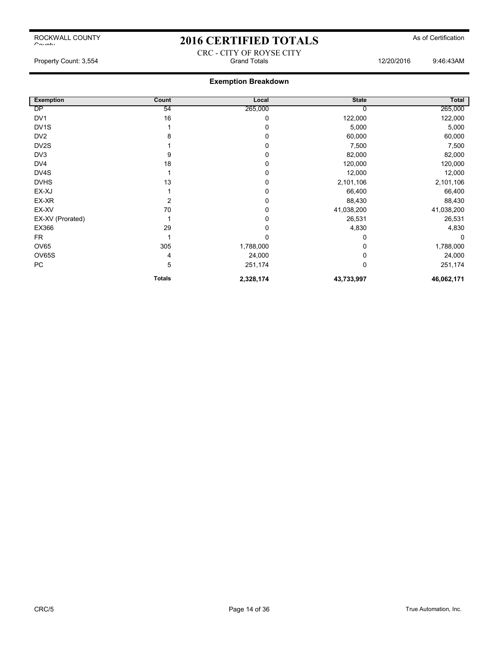$C$ ounty

## 2016 CERTIFIED TOTALS As of Certification

CRC - CITY OF ROYSE CITY

## **Exemption Breakdown**

| <b>Exemption</b>  | Count         | Local     | <b>State</b> | Total      |
|-------------------|---------------|-----------|--------------|------------|
| <b>DP</b>         | 54            | 265,000   |              | 265,000    |
| DV <sub>1</sub>   | 16            | 0         | 122,000      | 122,000    |
| DV <sub>1</sub> S |               | 0         | 5,000        | 5,000      |
| DV <sub>2</sub>   | 8             | 0         | 60,000       | 60,000     |
| DV <sub>2</sub> S |               | 0         | 7,500        | 7,500      |
| DV3               | 9             | 0         | 82,000       | 82,000     |
| DV <sub>4</sub>   | 18            | 0         | 120,000      | 120,000    |
| DV4S              |               | 0         | 12,000       | 12,000     |
| <b>DVHS</b>       | 13            | 0         | 2,101,106    | 2,101,106  |
| EX-XJ             |               | 0         | 66,400       | 66,400     |
| EX-XR             |               | 0         | 88,430       | 88,430     |
| EX-XV             | 70            | 0         | 41,038,200   | 41,038,200 |
| EX-XV (Prorated)  |               | 0         | 26,531       | 26,531     |
| EX366             | 29            | 0         | 4,830        | 4,830      |
| FR.               |               | $\Omega$  | 0            | $\Omega$   |
| OV65              | 305           | 1,788,000 | 0            | 1,788,000  |
| OV65S             | 4             | 24,000    | 0            | 24,000     |
| PC                | 5             | 251,174   | 0            | 251,174    |
|                   | <b>Totals</b> | 2,328,174 | 43,733,997   | 46,062,171 |

ROCKWALL COUNTY

Property Count: 3,554 Crand Totals Grand Totals 12/20/2016 9:46:43AM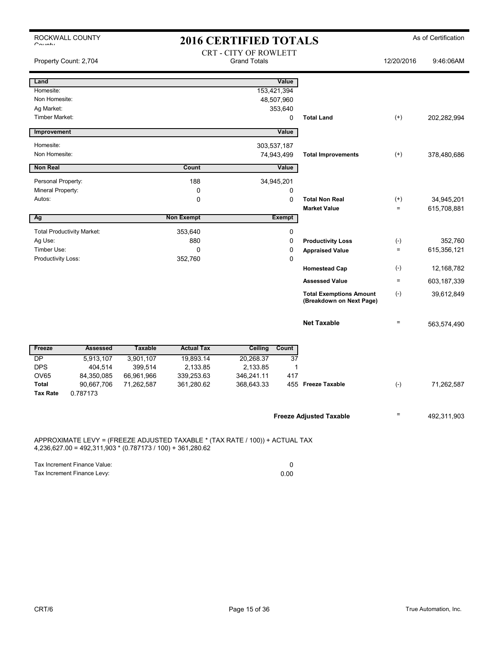| $O_{\text{multi}}$    | ROCKWALL COUNTY                                              |                |                   | <b>2016 CERTIFIED TOTALS</b>                                                 |                                                            |                 | As of Certification |
|-----------------------|--------------------------------------------------------------|----------------|-------------------|------------------------------------------------------------------------------|------------------------------------------------------------|-----------------|---------------------|
| Property Count: 2,704 |                                                              |                |                   | <b>CRT - CITY OF ROWLETT</b><br><b>Grand Totals</b>                          |                                                            | 12/20/2016      | 9:46:06AM           |
| Land                  |                                                              |                |                   | Value                                                                        |                                                            |                 |                     |
| Homesite:             |                                                              |                |                   | 153,421,394                                                                  |                                                            |                 |                     |
| Non Homesite:         |                                                              |                |                   | 48,507,960                                                                   |                                                            |                 |                     |
| Ag Market:            |                                                              |                |                   | 353,640                                                                      |                                                            |                 |                     |
| <b>Timber Market:</b> |                                                              |                |                   | 0                                                                            | <b>Total Land</b>                                          | $^{(+)}$        | 202,282,994         |
| Improvement           |                                                              |                |                   | Value                                                                        |                                                            |                 |                     |
| Homesite:             |                                                              |                |                   | 303,537,187                                                                  |                                                            |                 |                     |
| Non Homesite:         |                                                              |                |                   | 74,943,499                                                                   | <b>Total Improvements</b>                                  | $^{(+)}$        | 378,480,686         |
| <b>Non Real</b>       |                                                              |                | Count             | Value                                                                        |                                                            |                 |                     |
| Personal Property:    |                                                              |                | 188               | 34,945,201                                                                   |                                                            |                 |                     |
| Mineral Property:     |                                                              |                | 0                 | 0                                                                            |                                                            |                 |                     |
| Autos:                |                                                              |                | 0                 | 0                                                                            | <b>Total Non Real</b>                                      | $^{(+)}$        | 34,945,201          |
|                       |                                                              |                |                   |                                                                              | <b>Market Value</b>                                        | $=$             | 615,708,881         |
| Ag                    |                                                              |                | <b>Non Exempt</b> | <b>Exempt</b>                                                                |                                                            |                 |                     |
|                       | <b>Total Productivity Market:</b>                            |                | 353,640           | 0                                                                            |                                                            |                 |                     |
| Ag Use:               |                                                              |                | 880               | 0                                                                            | <b>Productivity Loss</b>                                   | $(-)$           | 352,760             |
| Timber Use:           |                                                              |                | 0                 | 0                                                                            | <b>Appraised Value</b>                                     | $=$             | 615,356,121         |
| Productivity Loss:    |                                                              |                | 352,760           | $\Omega$                                                                     |                                                            |                 |                     |
|                       |                                                              |                |                   |                                                                              | <b>Homestead Cap</b>                                       | $(-)$           | 12,168,782          |
|                       |                                                              |                |                   |                                                                              | <b>Assessed Value</b>                                      | $=$             | 603,187,339         |
|                       |                                                              |                |                   |                                                                              | <b>Total Exemptions Amount</b><br>(Breakdown on Next Page) | $(-)$           | 39,612,849          |
|                       |                                                              |                |                   |                                                                              | <b>Net Taxable</b>                                         | $\quad \  \  =$ | 563,574,490         |
| Freeze                | <b>Assessed</b>                                              | <b>Taxable</b> | <b>Actual Tax</b> | <b>Ceiling</b><br>Count                                                      |                                                            |                 |                     |
| <b>DP</b>             | 5,913,107                                                    | 3,901,107      | 19,893.14         | 20,268.37<br>37                                                              |                                                            |                 |                     |
| <b>DPS</b>            | 404,514                                                      | 399,514        | 2,133.85          | 2,133.85                                                                     | 1                                                          |                 |                     |
| <b>OV65</b>           | 84,350,085                                                   | 66,961,966     | 339,253.63        | 417<br>346,241.11                                                            |                                                            |                 |                     |
| Total                 | 90,667,706                                                   | 71,262,587     | 361,280.62        | 368,643.33<br>455                                                            | <b>Freeze Taxable</b>                                      | $(\text{-})$    | 71,262,587          |
| <b>Tax Rate</b>       | 0.787173                                                     |                |                   |                                                                              |                                                            |                 |                     |
|                       |                                                              |                |                   |                                                                              | <b>Freeze Adjusted Taxable</b>                             | Ξ               | 492,311,903         |
|                       | $4,236,627.00 = 492,311,903 * (0.787173 / 100) + 361,280.62$ |                |                   | APPROXIMATE LEVY = (FREEZE ADJUSTED TAXABLE * (TAX RATE / 100)) + ACTUAL TAX |                                                            |                 |                     |

| Tax Increment Finance Value: |      |
|------------------------------|------|
| Tax Increment Finance Levy:  | 0.00 |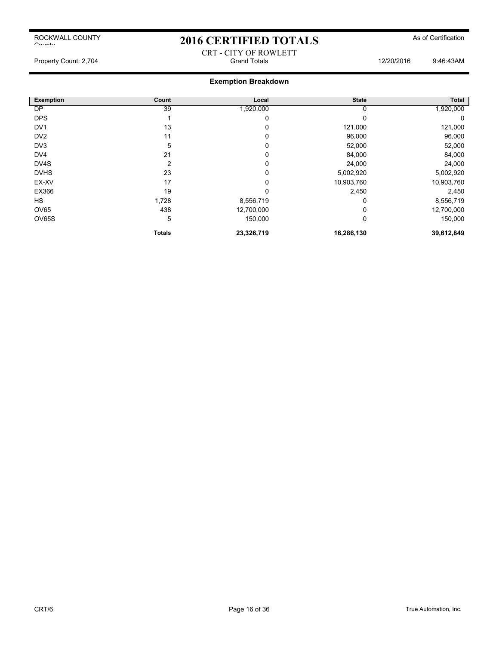# 2016 CERTIFIED TOTALS As of Certification CRT - CITY OF ROWLETT

### **Exemption Breakdown**

| <b>Exemption</b> | Count          | Local      | <b>State</b> | Total      |
|------------------|----------------|------------|--------------|------------|
| <b>DP</b>        | 39             | 1,920,000  | υ            | 1,920,000  |
| <b>DPS</b>       |                | 0          | 0            | 0          |
| DV <sub>1</sub>  | 13             | 0          | 121,000      | 121,000    |
| DV <sub>2</sub>  | 11             | 0          | 96,000       | 96,000     |
| DV3              | 5              | 0          | 52,000       | 52,000     |
| DV <sub>4</sub>  | 21             | 0          | 84,000       | 84,000     |
| DV4S             | $\overline{2}$ | 0          | 24,000       | 24,000     |
| <b>DVHS</b>      | 23             | 0          | 5,002,920    | 5,002,920  |
| EX-XV            | 17             | 0          | 10,903,760   | 10,903,760 |
| EX366            | 19             | $\Omega$   | 2,450        | 2,450      |
| <b>HS</b>        | 1,728          | 8,556,719  | 0            | 8,556,719  |
| OV65             | 438            | 12,700,000 | 0            | 12,700,000 |
| OV65S            | 5              | 150,000    | 0            | 150,000    |
|                  | <b>Totals</b>  | 23,326,719 | 16,286,130   | 39,612,849 |

Property Count: 2,704 **Count: 2,704** Grand Totals **Count: 2,704** Grand Totals 12/20/2016 9:46:43AM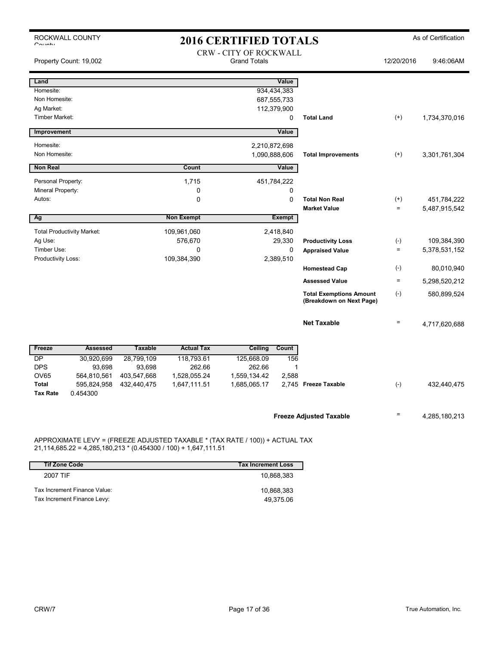| ROCKWALL COUNTY<br><b>2016 CERTIFIED TOTALS</b><br>$\sim$ |                                   |                |                   |                                                      |                            |                                                            | As of Certification  |                              |
|-----------------------------------------------------------|-----------------------------------|----------------|-------------------|------------------------------------------------------|----------------------------|------------------------------------------------------------|----------------------|------------------------------|
|                                                           | Property Count: 19,002            |                |                   | <b>CRW - CITY OF ROCKWALL</b><br><b>Grand Totals</b> |                            |                                                            | 12/20/2016           | 9:46:06AM                    |
| Land                                                      |                                   |                |                   |                                                      | Value                      |                                                            |                      |                              |
| Homesite:<br>Non Homesite:                                |                                   |                |                   |                                                      | 934,434,383<br>687,555,733 |                                                            |                      |                              |
| Ag Market:                                                |                                   |                |                   |                                                      | 112,379,900                |                                                            |                      |                              |
| <b>Timber Market:</b>                                     |                                   |                |                   |                                                      | 0                          | <b>Total Land</b>                                          | $^{(+)}$             | 1,734,370,016                |
| Improvement                                               |                                   |                |                   |                                                      | Value                      |                                                            |                      |                              |
| Homesite:                                                 |                                   |                |                   | 2,210,872,698                                        |                            |                                                            |                      |                              |
| Non Homesite:                                             |                                   |                |                   | 1,090,888,606                                        |                            | <b>Total Improvements</b>                                  | $(+)$                | 3,301,761,304                |
| <b>Non Real</b>                                           |                                   |                | Count             |                                                      | Value                      |                                                            |                      |                              |
| Personal Property:                                        |                                   |                | 1,715             |                                                      | 451,784,222                |                                                            |                      |                              |
| Mineral Property:                                         |                                   |                | 0                 |                                                      | $\mathbf 0$                |                                                            |                      |                              |
| Autos:                                                    |                                   |                | 0                 |                                                      | $\Omega$                   | <b>Total Non Real</b><br><b>Market Value</b>               | $^{(+)}$<br>$\equiv$ | 451,784,222<br>5,487,915,542 |
| Ag                                                        |                                   |                | <b>Non Exempt</b> |                                                      | <b>Exempt</b>              |                                                            |                      |                              |
|                                                           | <b>Total Productivity Market:</b> |                | 109,961,060       |                                                      | 2,418,840                  |                                                            |                      |                              |
| Ag Use:                                                   |                                   |                | 576,670           |                                                      | 29,330                     | <b>Productivity Loss</b>                                   | $(-)$                | 109,384,390                  |
| Timber Use:                                               |                                   |                | 0                 |                                                      | 0                          | <b>Appraised Value</b>                                     | $\equiv$             | 5,378,531,152                |
| Productivity Loss:                                        |                                   |                | 109,384,390       |                                                      | 2,389,510                  | <b>Homestead Cap</b>                                       | $(-)$                | 80,010,940                   |
|                                                           |                                   |                |                   |                                                      |                            | <b>Assessed Value</b>                                      | $\equiv$             | 5,298,520,212                |
|                                                           |                                   |                |                   |                                                      |                            |                                                            |                      |                              |
|                                                           |                                   |                |                   |                                                      |                            | <b>Total Exemptions Amount</b><br>(Breakdown on Next Page) | $(-)$                | 580,899,524                  |
|                                                           |                                   |                |                   |                                                      |                            | <b>Net Taxable</b>                                         | $\equiv$             |                              |
|                                                           |                                   |                |                   |                                                      |                            |                                                            |                      | 4,717,620,688                |
| Freeze                                                    | <b>Assessed</b>                   | <b>Taxable</b> | <b>Actual Tax</b> | Ceiling                                              | Count                      |                                                            |                      |                              |
| DP                                                        | 30,920,699                        | 28,799,109     | 118,793.61        | 125,668.09                                           | 156                        |                                                            |                      |                              |
| <b>DPS</b>                                                | 93,698                            | 93,698         | 262.66            | 262.66                                               | 1                          |                                                            |                      |                              |
| <b>OV65</b><br>Total                                      | 564,810,561                       | 403,547,668    | 1,528,055.24      | 1,559,134.42                                         | 2,588                      | 2,745 Freeze Taxable                                       |                      |                              |
| <b>Tax Rate</b>                                           | 595,824,958<br>0.454300           | 432,440,475    | 1,647,111.51      | 1,685,065.17                                         |                            |                                                            | $(-)$                | 432,440,475                  |
|                                                           |                                   |                |                   |                                                      |                            |                                                            |                      |                              |
|                                                           |                                   |                |                   |                                                      |                            | <b>Freeze Adjusted Taxable</b>                             | $\equiv$             | 4,285,180,213                |
|                                                           |                                   |                |                   |                                                      |                            |                                                            |                      |                              |
|                                                           |                                   |                |                   |                                                      |                            |                                                            |                      |                              |

APPROXIMATE LEVY = (FREEZE ADJUSTED TAXABLE \* (TAX RATE / 100)) + ACTUAL TAX 21,114,685.22 = 4,285,180,213 \* (0.454300 / 100) + 1,647,111.51

| <b>Tif Zone Code</b>         | <b>Tax Increment Loss</b> |
|------------------------------|---------------------------|
| 2007 TIF                     | 10.868.383                |
| Tax Increment Finance Value: | 10.868.383                |
| Tax Increment Finance Levy:  | 49.375.06                 |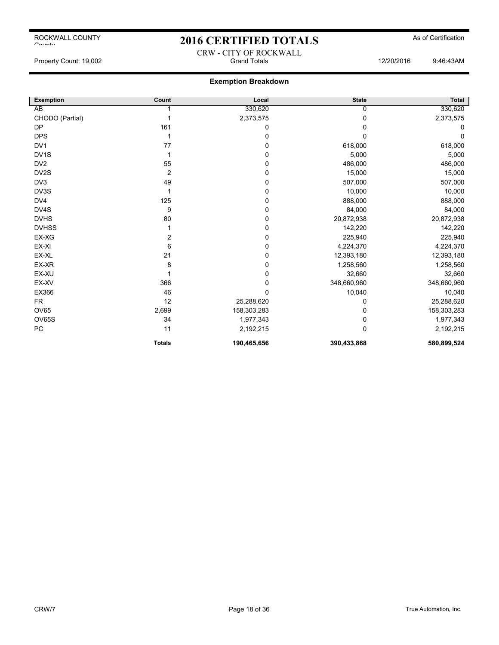# 2016 CERTIFIED TOTALS As of Certification CRW - CITY OF ROCKWALL

Property Count: 19,002 **Stand Totals** Grand Totals 12/20/2016 9:46:43AM

| <b>Exemption</b>  | Count          | Local       | <b>State</b> | Total       |
|-------------------|----------------|-------------|--------------|-------------|
| AB                |                | 330,620     | 0            | 330,620     |
| CHODO (Partial)   | 1              | 2,373,575   | 0            | 2,373,575   |
| <b>DP</b>         | 161            | 0           | 0            | 0           |
| <b>DPS</b>        | 1              | 0           | O            | $\Omega$    |
| DV <sub>1</sub>   | 77             | 0           | 618,000      | 618,000     |
| DV <sub>1</sub> S | 1              | 0           | 5,000        | 5,000       |
| DV <sub>2</sub>   | 55             | 0           | 486,000      | 486,000     |
| DV2S              | $\overline{2}$ | 0           | 15,000       | 15,000      |
| DV3               | 49             | 0           | 507,000      | 507,000     |
| DV3S              |                | 0           | 10,000       | 10,000      |
| DV4               | 125            | 0           | 888,000      | 888,000     |
| DV4S              | 9              | 0           | 84,000       | 84,000      |
| <b>DVHS</b>       | 80             | 0           | 20,872,938   | 20,872,938  |
| <b>DVHSS</b>      |                | 0           | 142,220      | 142,220     |
| EX-XG             | 2              | 0           | 225,940      | 225,940     |
| EX-XI             | 6              | 0           | 4,224,370    | 4,224,370   |
| EX-XL             | 21             | 0           | 12,393,180   | 12,393,180  |
| EX-XR             | 8              | 0           | 1,258,560    | 1,258,560   |
| EX-XU             |                | 0           | 32,660       | 32,660      |
| EX-XV             | 366            | 0           | 348,660,960  | 348,660,960 |
| EX366             | 46             | $\mathbf 0$ | 10,040       | 10,040      |
| <b>FR</b>         | 12             | 25,288,620  | 0            | 25,288,620  |
| <b>OV65</b>       | 2,699          | 158,303,283 | 0            | 158,303,283 |
| OV65S             | 34             | 1,977,343   | 0            | 1,977,343   |
| PC                | 11             | 2,192,215   | $\mathbf{0}$ | 2,192,215   |
|                   | <b>Totals</b>  | 190,465,656 | 390,433,868  | 580,899,524 |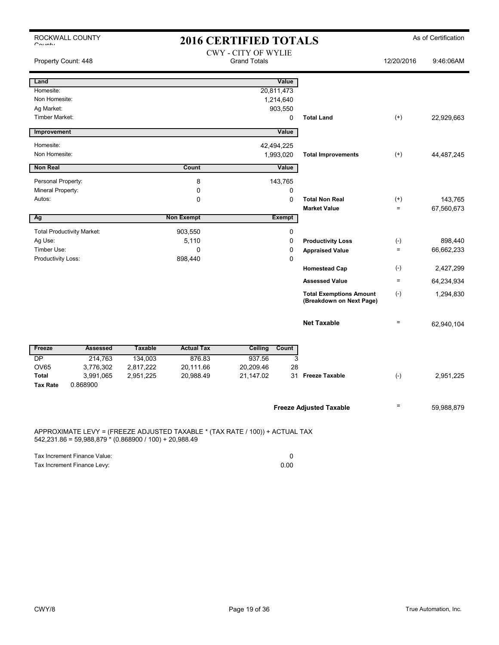|                           | ROCKWALL COUNTY                                                                                                                        |                |                   | <b>2016 CERTIFIED TOTALS</b>                      |                                                            |                   | As of Certification |  |
|---------------------------|----------------------------------------------------------------------------------------------------------------------------------------|----------------|-------------------|---------------------------------------------------|------------------------------------------------------------|-------------------|---------------------|--|
| $O_{\text{min}}$          |                                                                                                                                        |                |                   |                                                   |                                                            |                   |                     |  |
| Property Count: 448       |                                                                                                                                        |                |                   | <b>CWY - CITY OF WYLIE</b><br><b>Grand Totals</b> |                                                            | 12/20/2016        | 9:46:06AM           |  |
| Land                      |                                                                                                                                        |                |                   | Value                                             |                                                            |                   |                     |  |
| Homesite:                 |                                                                                                                                        |                |                   | 20,811,473                                        |                                                            |                   |                     |  |
| Non Homesite:             |                                                                                                                                        |                |                   | 1,214,640                                         |                                                            |                   |                     |  |
| Ag Market:                |                                                                                                                                        |                |                   | 903,550                                           |                                                            |                   |                     |  |
| <b>Timber Market:</b>     |                                                                                                                                        |                |                   | 0                                                 | <b>Total Land</b>                                          | $^{(+)}$          | 22,929,663          |  |
| <b>Improvement</b>        |                                                                                                                                        |                |                   | Value                                             |                                                            |                   |                     |  |
| Homesite:                 |                                                                                                                                        |                |                   | 42,494,225                                        |                                                            |                   |                     |  |
| Non Homesite:             |                                                                                                                                        |                |                   | 1,993,020                                         | <b>Total Improvements</b>                                  | $^{(+)}$          | 44,487,245          |  |
| <b>Non Real</b>           |                                                                                                                                        |                | <b>Count</b>      | Value                                             |                                                            |                   |                     |  |
| Personal Property:        |                                                                                                                                        |                | 8                 | 143,765                                           |                                                            |                   |                     |  |
| Mineral Property:         |                                                                                                                                        |                | 0                 | 0                                                 |                                                            |                   |                     |  |
| Autos:                    |                                                                                                                                        |                | $\mathbf 0$       | $\mathbf 0$                                       | <b>Total Non Real</b>                                      | $^{(+)}$          | 143,765             |  |
|                           |                                                                                                                                        |                |                   |                                                   | <b>Market Value</b>                                        | $=$               | 67,560,673          |  |
| Ag                        |                                                                                                                                        |                | <b>Non Exempt</b> | <b>Exempt</b>                                     |                                                            |                   |                     |  |
|                           | <b>Total Productivity Market:</b>                                                                                                      |                | 903,550           | 0                                                 |                                                            |                   |                     |  |
| Ag Use:                   |                                                                                                                                        |                | 5,110             | $\mathbf 0$                                       | <b>Productivity Loss</b>                                   | $(-)$             | 898,440             |  |
| Timber Use:               |                                                                                                                                        |                | 0                 | 0                                                 | <b>Appraised Value</b>                                     | $=$               | 66,662,233          |  |
| <b>Productivity Loss:</b> |                                                                                                                                        |                | 898,440           | $\mathbf 0$                                       |                                                            |                   |                     |  |
|                           |                                                                                                                                        |                |                   |                                                   | <b>Homestead Cap</b>                                       | $(-)$             | 2,427,299           |  |
|                           |                                                                                                                                        |                |                   |                                                   | <b>Assessed Value</b>                                      | $\qquad \qquad =$ | 64,234,934          |  |
|                           |                                                                                                                                        |                |                   |                                                   | <b>Total Exemptions Amount</b><br>(Breakdown on Next Page) | $(-)$             | 1,294,830           |  |
|                           |                                                                                                                                        |                |                   |                                                   | <b>Net Taxable</b>                                         | $=$               | 62,940,104          |  |
| Freeze                    | <b>Assessed</b>                                                                                                                        | <b>Taxable</b> | <b>Actual Tax</b> | Ceiling<br>Count                                  |                                                            |                   |                     |  |
| <b>DP</b>                 | 214,763                                                                                                                                | 134,003        | 876.83            | 937.56                                            | 3                                                          |                   |                     |  |
| <b>OV65</b>               | 3,776,302                                                                                                                              | 2,817,222      | 20,111.66         | 20,209.46                                         | 28                                                         |                   |                     |  |
| <b>Total</b>              | 3,991,065                                                                                                                              | 2,951,225      | 20,988.49         | 21,147.02                                         | <b>Freeze Taxable</b><br>31                                | $(-)$             | 2,951,225           |  |
| <b>Tax Rate</b>           | 0.868900                                                                                                                               |                |                   |                                                   |                                                            |                   |                     |  |
|                           |                                                                                                                                        |                |                   |                                                   | <b>Freeze Adjusted Taxable</b>                             | Ξ                 | 59,988,879          |  |
|                           | APPROXIMATE LEVY = (FREEZE ADJUSTED TAXABLE * (TAX RATE / 100)) + ACTUAL TAX<br>542,231.86 = 59,988,879 * (0.868900 / 100) + 20,988.49 |                |                   |                                                   |                                                            |                   |                     |  |

| Tax Increment Finance Value: |      |
|------------------------------|------|
| Tax Increment Finance Levy:  | 0.00 |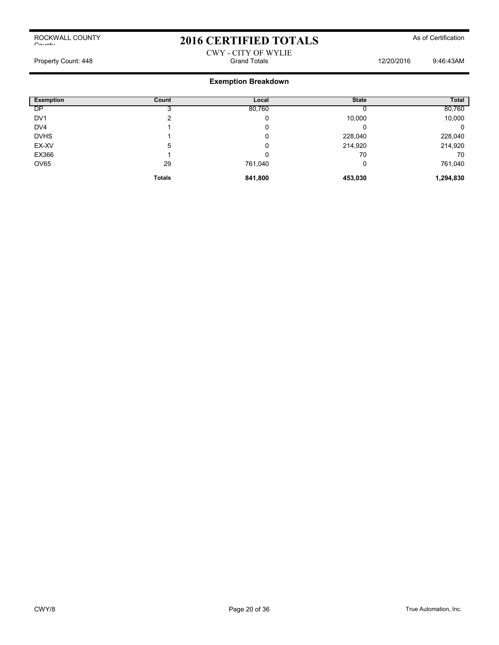## 2016 CERTIFIED TOTALS As of Certification

## CWY - CITY OF WYLIE Property Count: 448 **Property Count: 448** Crand Totals **Count: 448** Crand Totals **12/20/2016** 9:46:43AM

| <b>Exemption</b> | Count         | Local   | <b>State</b> | Total     |
|------------------|---------------|---------|--------------|-----------|
| <b>DP</b>        |               | 80,760  |              | 80,760    |
| DV <sub>1</sub>  |               | 0       | 10,000       | 10,000    |
| DV4              |               | 0       |              | 0         |
| <b>DVHS</b>      |               | 0       | 228,040      | 228,040   |
| EX-XV            | 5             | 0       | 214,920      | 214,920   |
| EX366            |               | 0       | 70           | 70        |
| <b>OV65</b>      | 29            | 761,040 | 0            | 761,040   |
|                  | <b>Totals</b> | 841,800 | 453,030      | 1,294,830 |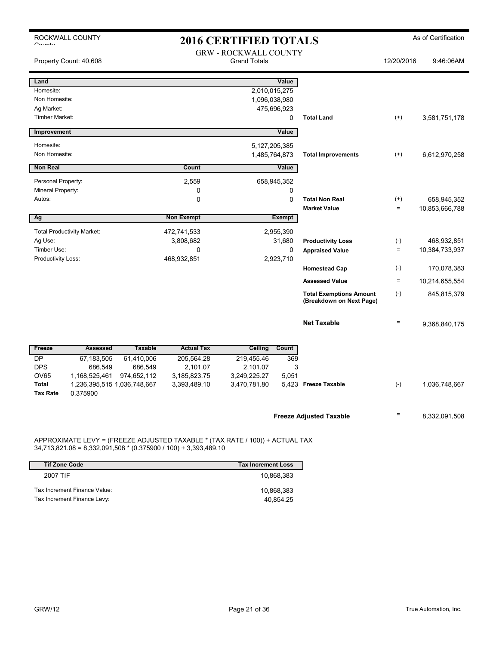| ROCKWALL COUNTY<br><b>2016 CERTIFIED TOTALS</b><br>$O_{\text{multi}}$ |                                                                                                                                           |                |                                                     | As of Certification          |               |                                                            |                   |                |
|-----------------------------------------------------------------------|-------------------------------------------------------------------------------------------------------------------------------------------|----------------|-----------------------------------------------------|------------------------------|---------------|------------------------------------------------------------|-------------------|----------------|
|                                                                       | Property Count: 40,608                                                                                                                    |                | <b>GRW - ROCKWALL COUNTY</b><br><b>Grand Totals</b> |                              |               |                                                            | 12/20/2016        | 9:46:06AM      |
| Land                                                                  |                                                                                                                                           |                |                                                     |                              | Value         |                                                            |                   |                |
| Homesite:                                                             |                                                                                                                                           |                |                                                     | 2,010,015,275                |               |                                                            |                   |                |
| Non Homesite:                                                         |                                                                                                                                           |                |                                                     | 1,096,038,980                |               |                                                            |                   |                |
| Ag Market:<br>Timber Market:                                          |                                                                                                                                           |                |                                                     | 475,696,923                  | 0             | <b>Total Land</b>                                          |                   |                |
|                                                                       |                                                                                                                                           |                |                                                     |                              |               |                                                            | $^{(+)}$          | 3,581,751,178  |
| Improvement                                                           |                                                                                                                                           |                |                                                     |                              | Value         |                                                            |                   |                |
| Homesite:                                                             |                                                                                                                                           |                |                                                     | 5, 127, 205, 385             |               |                                                            |                   |                |
| Non Homesite:                                                         |                                                                                                                                           |                |                                                     | 1,485,764,873                |               | <b>Total Improvements</b>                                  | $(+)$             | 6,612,970,258  |
| <b>Non Real</b>                                                       |                                                                                                                                           |                | Count                                               |                              | Value         |                                                            |                   |                |
| Personal Property:                                                    |                                                                                                                                           |                | 2,559                                               | 658,945,352                  |               |                                                            |                   |                |
| Mineral Property:                                                     |                                                                                                                                           |                | 0                                                   |                              | 0             |                                                            |                   |                |
| Autos:                                                                |                                                                                                                                           |                | $\mathbf 0$                                         |                              | $\mathbf 0$   | <b>Total Non Real</b>                                      | $^{(+)}$          | 658,945,352    |
|                                                                       |                                                                                                                                           |                |                                                     |                              |               | <b>Market Value</b>                                        | $\qquad \qquad =$ | 10,853,666,788 |
| Ag                                                                    |                                                                                                                                           |                | <b>Non Exempt</b>                                   |                              | <b>Exempt</b> |                                                            |                   |                |
|                                                                       | <b>Total Productivity Market:</b>                                                                                                         |                | 472,741,533                                         | 2,955,390                    |               |                                                            |                   |                |
| Ag Use:                                                               |                                                                                                                                           |                | 3,808,682                                           |                              | 31,680        | <b>Productivity Loss</b>                                   | $(\text{-})$      | 468,932,851    |
| Timber Use:                                                           |                                                                                                                                           |                | 0                                                   |                              | 0             | <b>Appraised Value</b>                                     | $=$               | 10,384,733,937 |
| Productivity Loss:                                                    |                                                                                                                                           |                | 468,932,851                                         | 2,923,710                    |               |                                                            |                   |                |
|                                                                       |                                                                                                                                           |                |                                                     |                              |               | <b>Homestead Cap</b>                                       | $(-)$             | 170,078,383    |
|                                                                       |                                                                                                                                           |                |                                                     |                              |               | <b>Assessed Value</b>                                      | $=$               | 10,214,655,554 |
|                                                                       |                                                                                                                                           |                |                                                     |                              |               | <b>Total Exemptions Amount</b><br>(Breakdown on Next Page) | $(-)$             | 845,815,379    |
|                                                                       |                                                                                                                                           |                |                                                     |                              |               | <b>Net Taxable</b>                                         | $=$               | 9,368,840,175  |
| Freeze                                                                | <b>Assessed</b>                                                                                                                           | <b>Taxable</b> | <b>Actual Tax</b>                                   | Ceiling                      | Count         |                                                            |                   |                |
| <b>DP</b>                                                             | 67,183,505                                                                                                                                | 61,410,006     | 205,564.28                                          | 219,455.46                   | 369           |                                                            |                   |                |
| <b>DPS</b>                                                            | 686,549                                                                                                                                   | 686,549        | 2,101.07                                            | 2,101.07                     | 3             |                                                            |                   |                |
| <b>OV65</b><br><b>Total</b>                                           | 1,168,525,461<br>1,236,395,515 1,036,748,667                                                                                              | 974,652,112    | 3,185,823.75<br>3,393,489.10                        | 3,249,225.27<br>3,470,781.80 | 5,051         | 5.423 Freeze Taxable                                       | $(-)$             | 1,036,748,667  |
| <b>Tax Rate</b>                                                       | 0.375900                                                                                                                                  |                |                                                     |                              |               |                                                            |                   |                |
|                                                                       |                                                                                                                                           |                |                                                     |                              |               | <b>Freeze Adjusted Taxable</b>                             | $=$               | 8,332,091,508  |
|                                                                       | APPROXIMATE LEVY = (FREEZE ADJUSTED TAXABLE * (TAX RATE / 100)) + ACTUAL TAX<br>$10.02100 - 0.222001001000$ $(0.2750001400) + 2.20240040$ |                |                                                     |                              |               |                                                            |                   |                |

34,713,821.08 = 8,332,091,508 \* (0.375900 / 100) + 3,393,489.10 **Tif Zone Code Tax Increment Loss**

| 2007 TIF                     | 10.868.383 |
|------------------------------|------------|
| Tax Increment Finance Value: | 10.868.383 |
| Tax Increment Finance Levy:  | 40.854.25  |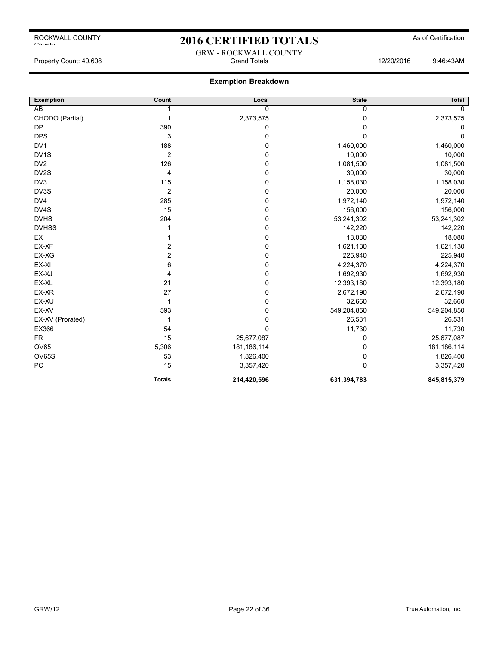## 2016 CERTIFIED TOTALS As of Certification

GRW - ROCKWALL COUNTY Property Count: 40,608 Grand Totals 12/20/2016 9:46:43AM

| <b>Exemption</b> | Count          | Local          | <b>State</b> | Total          |
|------------------|----------------|----------------|--------------|----------------|
| AB               |                | $\overline{0}$ | 0            | $\overline{0}$ |
| CHODO (Partial)  | 1              | 2,373,575      | 0            | 2,373,575      |
| <b>DP</b>        | 390            | 0              | 0            | 0              |
| <b>DPS</b>       | 3              | 0              | 0            | 0              |
| DV1              | 188            | $\mathbf 0$    | 1,460,000    | 1,460,000      |
| DV1S             | $\overline{2}$ | 0              | 10,000       | 10,000         |
| DV <sub>2</sub>  | 126            | 0              | 1,081,500    | 1,081,500      |
| DV2S             | 4              | 0              | 30,000       | 30,000         |
| DV <sub>3</sub>  | 115            | 0              | 1,158,030    | 1,158,030      |
| DV3S             | $\overline{2}$ | 0              | 20,000       | 20,000         |
| DV4              | 285            | 0              | 1,972,140    | 1,972,140      |
| DV4S             | 15             | 0              | 156,000      | 156,000        |
| <b>DVHS</b>      | 204            | $\pmb{0}$      | 53,241,302   | 53,241,302     |
| <b>DVHSS</b>     |                | 0              | 142,220      | 142,220        |
| EX               |                | 0              | 18,080       | 18,080         |
| EX-XF            | 2              | 0              | 1,621,130    | 1,621,130      |
| EX-XG            | 2              | 0              | 225,940      | 225,940        |
| EX-XI            | 6              | $\pmb{0}$      | 4,224,370    | 4,224,370      |
| EX-XJ            | 4              | 0              | 1,692,930    | 1,692,930      |
| EX-XL            | 21             | 0              | 12,393,180   | 12,393,180     |
| EX-XR            | 27             | $\mathbf 0$    | 2,672,190    | 2,672,190      |
| EX-XU            | 1              | 0              | 32,660       | 32,660         |
| EX-XV            | 593            | 0              | 549,204,850  | 549,204,850    |
| EX-XV (Prorated) | 1              | 0              | 26,531       | 26,531         |
| EX366            | 54             | $\mathbf 0$    | 11,730       | 11,730         |
| <b>FR</b>        | 15             | 25,677,087     | 0            | 25,677,087     |
| OV65             | 5,306          | 181,186,114    | 0            | 181,186,114    |
| OV65S            | 53             | 1,826,400      | 0            | 1,826,400      |
| PC               | 15             | 3,357,420      | $\Omega$     | 3,357,420      |
|                  | <b>Totals</b>  | 214,420,596    | 631,394,783  | 845,815,379    |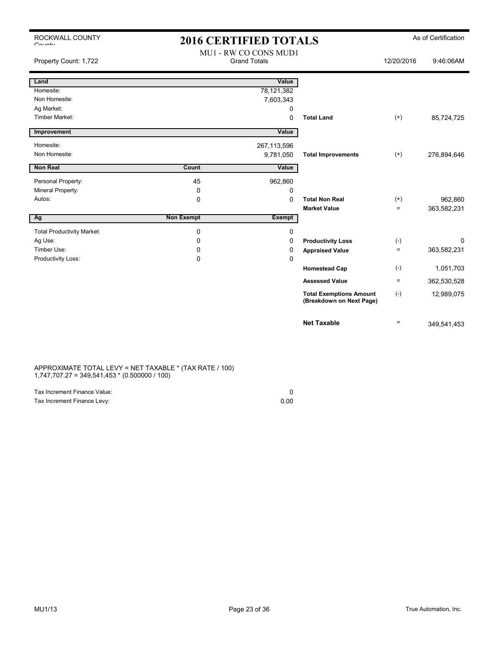| ROCKWALL COUNTY<br>$O_{\text{multi}}$ | <b>2016 CERTIFIED TOTALS</b> |                                              |                                                            |                   | As of Certification |
|---------------------------------------|------------------------------|----------------------------------------------|------------------------------------------------------------|-------------------|---------------------|
| Property Count: 1,722                 |                              | MU1 - RW CO CONS MUD1<br><b>Grand Totals</b> |                                                            | 12/20/2016        | 9:46:06AM           |
| Land                                  |                              | Value                                        |                                                            |                   |                     |
| Homesite:                             |                              | 78,121,382                                   |                                                            |                   |                     |
| Non Homesite:                         |                              | 7,603,343                                    |                                                            |                   |                     |
| Ag Market:                            |                              | 0                                            |                                                            |                   |                     |
| <b>Timber Market:</b>                 |                              | 0                                            | <b>Total Land</b>                                          | $(+)$             | 85,724,725          |
| Improvement                           |                              | Value                                        |                                                            |                   |                     |
| Homesite:                             |                              | 267,113,596                                  |                                                            |                   |                     |
| Non Homesite:                         |                              | 9,781,050                                    | <b>Total Improvements</b>                                  | $^{(+)}$          | 276,894,646         |
| Non Real                              | Count                        | Value                                        |                                                            |                   |                     |
| Personal Property:                    | 45                           | 962,860                                      |                                                            |                   |                     |
| Mineral Property:                     | 0                            | 0                                            |                                                            |                   |                     |
| Autos:                                | 0                            | 0                                            | <b>Total Non Real</b>                                      | $^{(+)}$          | 962,860             |
|                                       |                              |                                              | <b>Market Value</b>                                        | $\qquad \qquad =$ | 363,582,231         |
| Ag                                    | <b>Non Exempt</b>            | <b>Exempt</b>                                |                                                            |                   |                     |
| <b>Total Productivity Market:</b>     | 0                            | 0                                            |                                                            |                   |                     |
| Ag Use:                               | 0                            | 0                                            | <b>Productivity Loss</b>                                   | $(-)$             | 0                   |
| Timber Use:                           | 0                            | 0                                            | <b>Appraised Value</b>                                     | $\equiv$          | 363,582,231         |
| Productivity Loss:                    | 0                            | 0                                            |                                                            |                   |                     |
|                                       |                              |                                              | <b>Homestead Cap</b>                                       | $(-)$             | 1,051,703           |
|                                       |                              |                                              | <b>Assessed Value</b>                                      | $\equiv$          | 362,530,528         |
|                                       |                              |                                              | <b>Total Exemptions Amount</b><br>(Breakdown on Next Page) | $(-)$             | 12,989,075          |
|                                       |                              |                                              | <b>Net Taxable</b>                                         | $\equiv$          | 349,541,453         |

### APPROXIMATE TOTAL LEVY = NET TAXABLE \* (TAX RATE / 100) 1,747,707.27 = 349,541,453 \* (0.500000 / 100)

| Tax Increment Finance Value: |      |
|------------------------------|------|
| Tax Increment Finance Levy:  | 0.00 |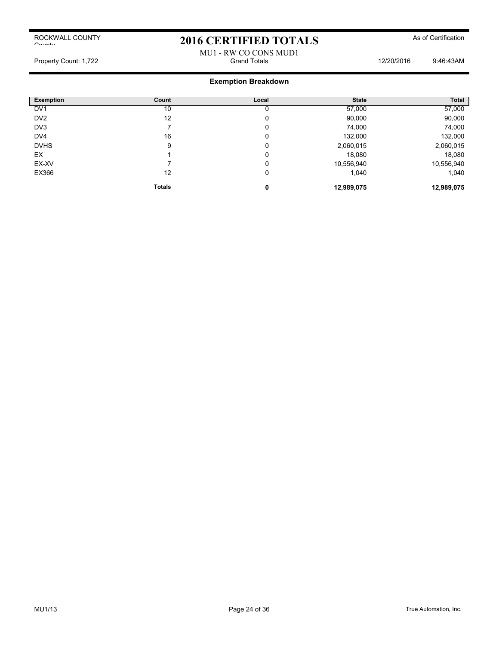## 2016 CERTIFIED TOTALS As of Certification

### MU1 - RW CO CONS MUD1 Property Count: 1,722 Grand Totals 12/20/2016 9:46:43AM

| <b>Exemption</b> | Count         | Local | <b>State</b> | Total      |
|------------------|---------------|-------|--------------|------------|
| DV <sub>1</sub>  | 10            |       | 57,000       | 57,000     |
| DV <sub>2</sub>  | 12            | 0     | 90,000       | 90,000     |
| DV3              |               | 0     | 74,000       | 74,000     |
| DV <sub>4</sub>  | 16            | 0     | 132,000      | 132,000    |
| <b>DVHS</b>      | 9             | 0     | 2,060,015    | 2,060,015  |
| EX               |               | 0     | 18,080       | 18,080     |
| EX-XV            |               | 0     | 10,556,940   | 10,556,940 |
| EX366            | 12            | 0     | 1,040        | 1,040      |
|                  | <b>Totals</b> | 0     | 12,989,075   | 12,989,075 |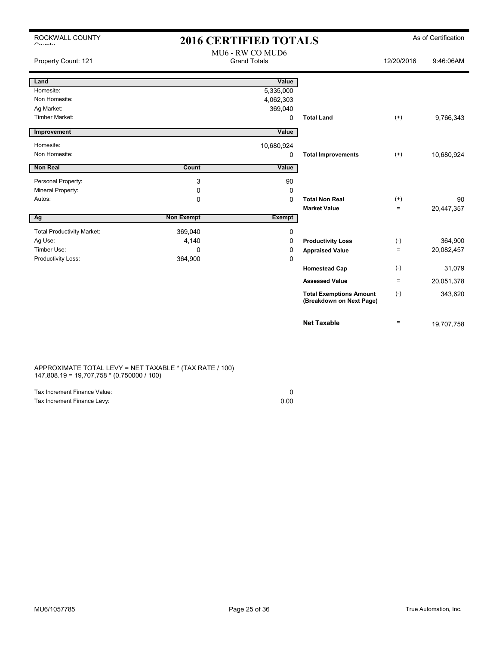| ROCKWALL COUNTY                           |                   | <b>2016 CERTIFIED TOTALS</b>            |                                                            |                   | As of Certification |
|-------------------------------------------|-------------------|-----------------------------------------|------------------------------------------------------------|-------------------|---------------------|
| $O_{\text{multi}}$<br>Property Count: 121 |                   | MU6 - RW CO MUD6<br><b>Grand Totals</b> |                                                            | 12/20/2016        | 9:46:06AM           |
|                                           |                   |                                         |                                                            |                   |                     |
| Land                                      |                   | Value                                   |                                                            |                   |                     |
| Homesite:                                 |                   | 5,335,000                               |                                                            |                   |                     |
| Non Homesite:                             |                   | 4,062,303                               |                                                            |                   |                     |
| Ag Market:                                |                   | 369,040                                 |                                                            |                   |                     |
| Timber Market:                            |                   | 0                                       | <b>Total Land</b>                                          | $(+)$             | 9,766,343           |
| Improvement                               |                   | Value                                   |                                                            |                   |                     |
| Homesite:                                 |                   | 10,680,924                              |                                                            |                   |                     |
| Non Homesite:                             |                   | 0                                       | <b>Total Improvements</b>                                  | $(+)$             | 10,680,924          |
| Non Real                                  | Count             | Value                                   |                                                            |                   |                     |
| Personal Property:                        | 3                 | 90                                      |                                                            |                   |                     |
| Mineral Property:                         | 0                 | 0                                       |                                                            |                   |                     |
| Autos:                                    | $\Omega$          | $\Omega$                                | <b>Total Non Real</b>                                      | $^{(+)}$          | 90                  |
|                                           |                   |                                         | <b>Market Value</b>                                        | $\qquad \qquad =$ | 20,447,357          |
| Ag                                        | <b>Non Exempt</b> | <b>Exempt</b>                           |                                                            |                   |                     |
| <b>Total Productivity Market:</b>         | 369,040           | 0                                       |                                                            |                   |                     |
| Ag Use:                                   | 4,140             | 0                                       | <b>Productivity Loss</b>                                   | $(-)$             | 364,900             |
| Timber Use:                               | $\Omega$          | 0                                       | <b>Appraised Value</b>                                     | $\qquad \qquad =$ | 20,082,457          |
| Productivity Loss:                        | 364,900           | 0                                       |                                                            |                   |                     |
|                                           |                   |                                         | <b>Homestead Cap</b>                                       | $(-)$             | 31,079              |
|                                           |                   |                                         | <b>Assessed Value</b>                                      | $\equiv$          | 20,051,378          |
|                                           |                   |                                         | <b>Total Exemptions Amount</b><br>(Breakdown on Next Page) | $(-)$             | 343,620             |
|                                           |                   |                                         | <b>Net Taxable</b>                                         | $\qquad \qquad =$ | 19,707,758          |

APPROXIMATE TOTAL LEVY = NET TAXABLE \* (TAX RATE / 100) 147,808.19 = 19,707,758 \* (0.750000 / 100)

| Tax Increment Finance Value: |      |
|------------------------------|------|
| Tax Increment Finance Levy:  | 0.00 |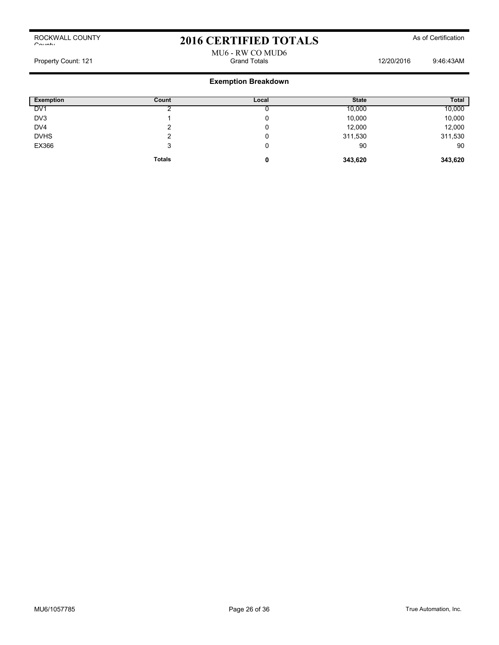## 2016 CERTIFIED TOTALS As of Certification

### MU6 - RW CO MUD6 Property Count: 121 **Property Count: 121 Grand Totals** 12/20/2016 9:46:43AM

| <b>Exemption</b> | Count         | Local | <b>State</b> | <b>Total</b> |
|------------------|---------------|-------|--------------|--------------|
| DV <sub>1</sub>  |               |       | 10,000       | 10,000       |
| DV3              |               | v     | 10,000       | 10,000       |
| DV4              |               | u     | 12,000       | 12,000       |
| <b>DVHS</b>      |               | v     | 311,530      | 311,530      |
| EX366            | 3             | 0     | 90           | 90           |
|                  | <b>Totals</b> | 0     | 343,620      | 343,620      |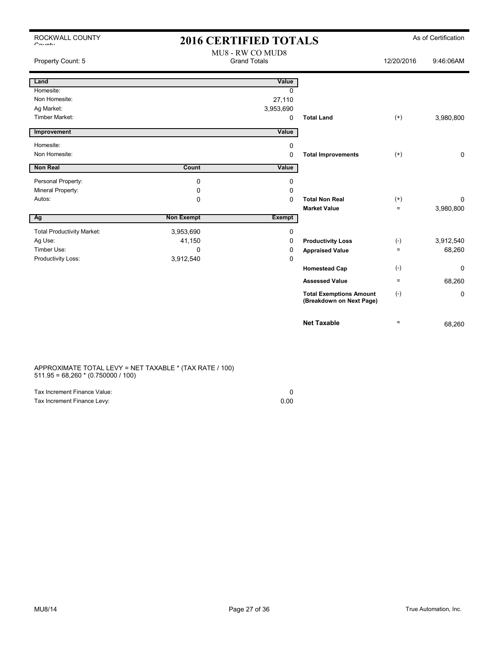| ROCKWALL COUNTY<br>$O_{\text{multi}}$ | <b>2016 CERTIFIED TOTALS</b>            |               |                                                            |                   | As of Certification |
|---------------------------------------|-----------------------------------------|---------------|------------------------------------------------------------|-------------------|---------------------|
| Property Count: 5                     | MU8 - RW CO MUD8<br><b>Grand Totals</b> |               |                                                            | 12/20/2016        | 9:46:06AM           |
| Land                                  |                                         | Value         |                                                            |                   |                     |
| Homesite:                             |                                         | 0             |                                                            |                   |                     |
| Non Homesite:                         |                                         | 27,110        |                                                            |                   |                     |
| Ag Market:                            |                                         | 3,953,690     |                                                            |                   |                     |
| <b>Timber Market:</b>                 |                                         | 0             | <b>Total Land</b>                                          | $^{(+)}$          | 3,980,800           |
| Improvement                           |                                         | Value         |                                                            |                   |                     |
| Homesite:                             |                                         | 0             |                                                            |                   |                     |
| Non Homesite:                         |                                         | 0             | <b>Total Improvements</b>                                  | $^{(+)}$          | 0                   |
|                                       |                                         |               |                                                            |                   |                     |
| <b>Non Real</b>                       | Count                                   | Value         |                                                            |                   |                     |
| Personal Property:                    | 0                                       | 0             |                                                            |                   |                     |
| Mineral Property:                     | 0                                       | 0             |                                                            |                   |                     |
| Autos:                                | 0                                       | $\Omega$      | <b>Total Non Real</b>                                      | $^{(+)}$          | 0                   |
|                                       |                                         |               | <b>Market Value</b>                                        | $\qquad \qquad =$ | 3,980,800           |
| Ag                                    | <b>Non Exempt</b>                       | <b>Exempt</b> |                                                            |                   |                     |
| <b>Total Productivity Market:</b>     | 3,953,690                               | 0             |                                                            |                   |                     |
| Ag Use:                               | 41,150                                  | 0             | <b>Productivity Loss</b>                                   | $(-)$             | 3,912,540           |
| Timber Use:                           | 0                                       | 0             | <b>Appraised Value</b>                                     | $\equiv$          | 68,260              |
| Productivity Loss:                    | 3,912,540                               | 0             |                                                            |                   |                     |
|                                       |                                         |               | <b>Homestead Cap</b>                                       | $(-)$             | $\Omega$            |
|                                       |                                         |               | <b>Assessed Value</b>                                      | $\qquad \qquad =$ | 68,260              |
|                                       |                                         |               | <b>Total Exemptions Amount</b><br>(Breakdown on Next Page) | $(-)$             | 0                   |

APPROXIMATE TOTAL LEVY = NET TAXABLE \* (TAX RATE / 100) 511.95 = 68,260 \* (0.750000 / 100)

| Tax Increment Finance Value: |      |
|------------------------------|------|
| Tax Increment Finance Levy:  | 0.00 |

**Net Taxable**  $\qquad \qquad = \qquad 68,260$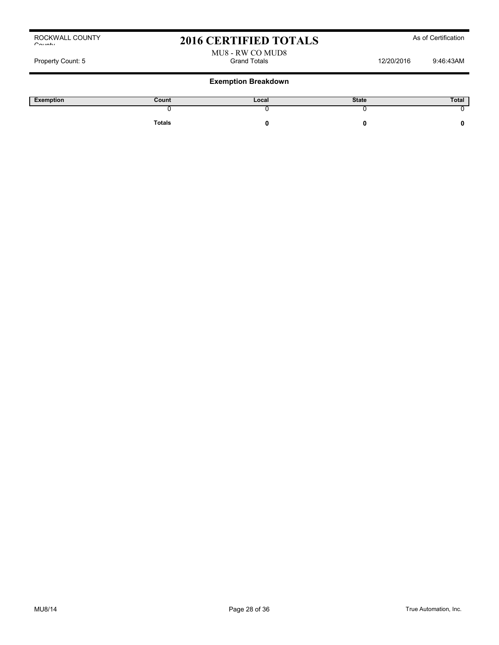## 2016 CERTIFIED TOTALS As of Certification

# MU8 - RW CO MUD8

Property Count: 5 Grand Totals 12/20/2016 9:46:43AM

| Exemption | Count         | Local | <b>State</b> | Total |
|-----------|---------------|-------|--------------|-------|
|           |               |       |              |       |
|           | <b>Totals</b> |       |              |       |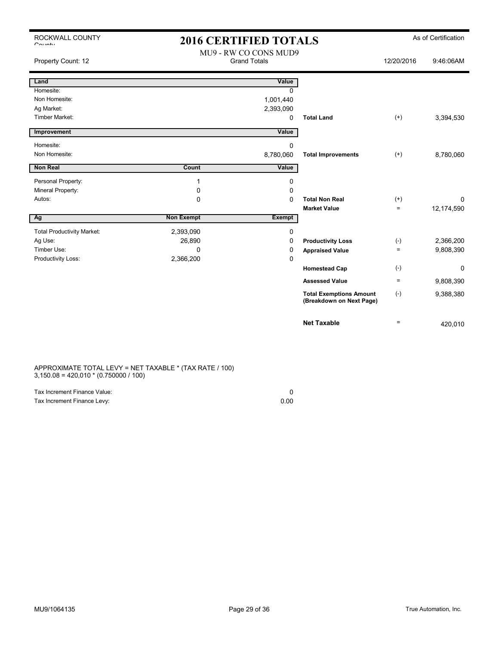## 2016 CERTIFIED TOTALS As of Certification MU9 - RW CO CONS MUD9

| Property Count: 12                |                   | MUY - KW CO CONS MUDY<br><b>Grand Totals</b> |                                                            | 12/20/2016 | 9:46:06AM  |
|-----------------------------------|-------------------|----------------------------------------------|------------------------------------------------------------|------------|------------|
| Land                              |                   | Value                                        |                                                            |            |            |
| Homesite:                         |                   | 0                                            |                                                            |            |            |
| Non Homesite:                     |                   | 1,001,440                                    |                                                            |            |            |
| Ag Market:                        |                   | 2,393,090                                    |                                                            |            |            |
| <b>Timber Market:</b>             |                   | 0                                            | <b>Total Land</b>                                          | $^{(+)}$   | 3,394,530  |
| Improvement                       |                   | Value                                        |                                                            |            |            |
| Homesite:                         |                   | 0                                            |                                                            |            |            |
| Non Homesite:                     |                   | 8,780,060                                    | <b>Total Improvements</b>                                  | $^{(+)}$   | 8,780,060  |
| <b>Non Real</b>                   | Count             | Value                                        |                                                            |            |            |
| Personal Property:                | 1                 | 0                                            |                                                            |            |            |
| Mineral Property:                 | 0                 | 0                                            |                                                            |            |            |
| Autos:                            | 0                 | 0                                            | <b>Total Non Real</b>                                      | $^{(+)}$   | 0          |
|                                   |                   |                                              | <b>Market Value</b>                                        | $\equiv$   | 12,174,590 |
| Ag                                | <b>Non Exempt</b> | <b>Exempt</b>                                |                                                            |            |            |
| <b>Total Productivity Market:</b> | 2,393,090         | 0                                            |                                                            |            |            |
| Ag Use:                           | 26,890            | 0                                            | <b>Productivity Loss</b>                                   | $(-)$      | 2,366,200  |
| Timber Use:                       | $\Omega$          | 0                                            | <b>Appraised Value</b>                                     | $\equiv$   | 9,808,390  |
| Productivity Loss:                | 2,366,200         | 0                                            |                                                            |            |            |
|                                   |                   |                                              | <b>Homestead Cap</b>                                       | $(-)$      | 0          |
|                                   |                   |                                              | <b>Assessed Value</b>                                      | $\equiv$   | 9,808,390  |
|                                   |                   |                                              | <b>Total Exemptions Amount</b><br>(Breakdown on Next Page) | $(-)$      | 9,388,380  |
|                                   |                   |                                              | <b>Net Taxable</b>                                         | $\equiv$   | 420,010    |

APPROXIMATE TOTAL LEVY = NET TAXABLE \* (TAX RATE / 100)  $3,150.08 = 420,010 * (0.750000 / 100)$ 

| Tax Increment Finance Value: |      |
|------------------------------|------|
| Tax Increment Finance Levy:  | 0.00 |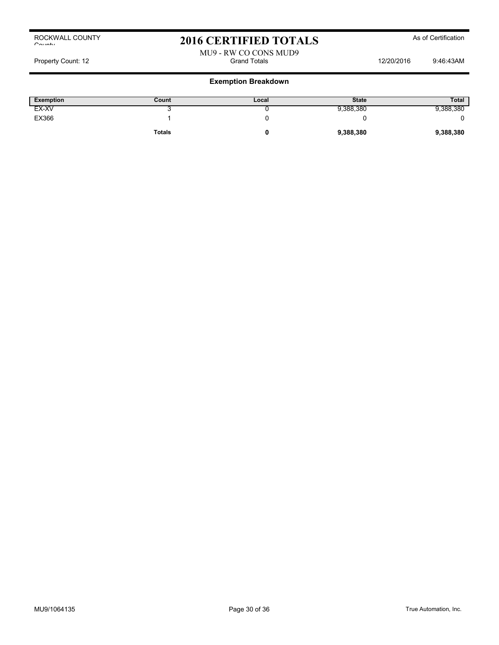## 2016 CERTIFIED TOTALS As of Certification

### MU9 - RW CO CONS MUD9 Property Count: 12 **Access 22/2016** 12/20/2016 12/20/2016 12/20/2016 12/20/2016 9:46:43AM

| <b>Exemption</b> | Count         | Local | <b>State</b> | <b>Total</b> |
|------------------|---------------|-------|--------------|--------------|
| EX-XV            | ີ             |       | 9,388,380    | 9,388,380    |
| EX366            |               |       |              |              |
|                  | <b>Totals</b> |       | 9,388,380    | 9,388,380    |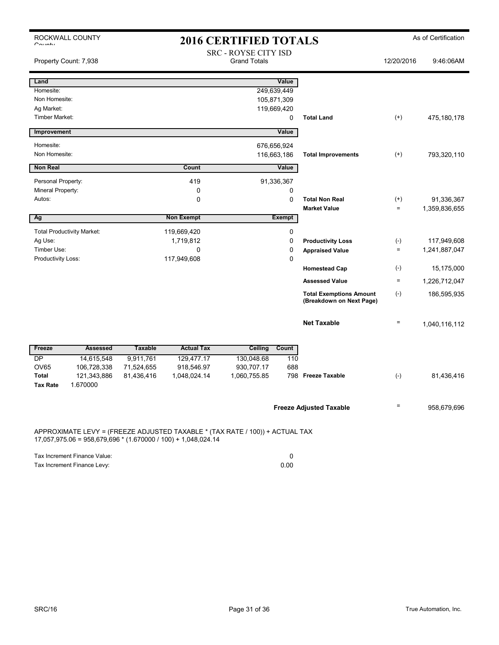| O <sub>2</sub>                                                                                                                                  | ROCKWALL COUNTY                   | <b>2016 CERTIFIED TOTALS</b> |                   |                                                    |                            |                                                            |                     | As of Certification          |
|-------------------------------------------------------------------------------------------------------------------------------------------------|-----------------------------------|------------------------------|-------------------|----------------------------------------------------|----------------------------|------------------------------------------------------------|---------------------|------------------------------|
|                                                                                                                                                 | Property Count: 7,938             |                              |                   | <b>SRC - ROYSE CITY ISD</b><br><b>Grand Totals</b> |                            |                                                            | 12/20/2016          | 9:46:06AM                    |
| Land                                                                                                                                            |                                   |                              |                   |                                                    | Value                      |                                                            |                     |                              |
| Homesite:                                                                                                                                       |                                   |                              |                   |                                                    | 249,639,449                |                                                            |                     |                              |
| Non Homesite:<br>Ag Market:                                                                                                                     |                                   |                              |                   |                                                    | 105,871,309<br>119,669,420 |                                                            |                     |                              |
| <b>Timber Market:</b>                                                                                                                           |                                   |                              |                   |                                                    | 0                          | <b>Total Land</b>                                          | $(+)$               | 475,180,178                  |
|                                                                                                                                                 |                                   |                              |                   |                                                    |                            |                                                            |                     |                              |
| Improvement                                                                                                                                     |                                   |                              |                   |                                                    | Value                      |                                                            |                     |                              |
| Homesite:                                                                                                                                       |                                   |                              |                   |                                                    | 676,656,924                |                                                            |                     |                              |
| Non Homesite:                                                                                                                                   |                                   |                              |                   |                                                    | 116,663,186                | <b>Total Improvements</b>                                  | $^{(+)}$            | 793,320,110                  |
| <b>Non Real</b>                                                                                                                                 |                                   |                              | Count             |                                                    | Value                      |                                                            |                     |                              |
| Personal Property:                                                                                                                              |                                   |                              | 419               |                                                    | 91,336,367                 |                                                            |                     |                              |
| Mineral Property:                                                                                                                               |                                   |                              | 0                 |                                                    | 0                          |                                                            |                     |                              |
| Autos:                                                                                                                                          |                                   |                              | 0                 |                                                    | $\mathbf 0$                | <b>Total Non Real</b>                                      | $^{(+)}$            | 91,336,367                   |
|                                                                                                                                                 |                                   |                              | <b>Non Exempt</b> |                                                    | <b>Exempt</b>              | <b>Market Value</b>                                        | $\equiv$            | 1,359,836,655                |
| Ag                                                                                                                                              |                                   |                              |                   |                                                    |                            |                                                            |                     |                              |
|                                                                                                                                                 | <b>Total Productivity Market:</b> |                              | 119,669,420       |                                                    | 0                          |                                                            |                     |                              |
| Ag Use:<br>Timber Use:                                                                                                                          |                                   |                              | 1,719,812<br>0    |                                                    | $\mathbf 0$<br>$\mathbf 0$ | <b>Productivity Loss</b><br><b>Appraised Value</b>         | $(\text{-})$<br>$=$ | 117,949,608<br>1,241,887,047 |
| Productivity Loss:                                                                                                                              |                                   |                              | 117,949,608       |                                                    | $\mathbf 0$                |                                                            |                     |                              |
|                                                                                                                                                 |                                   |                              |                   |                                                    |                            | <b>Homestead Cap</b>                                       | $(-)$               | 15,175,000                   |
|                                                                                                                                                 |                                   |                              |                   |                                                    |                            | <b>Assessed Value</b>                                      | $=$                 | 1,226,712,047                |
|                                                                                                                                                 |                                   |                              |                   |                                                    |                            | <b>Total Exemptions Amount</b><br>(Breakdown on Next Page) | $(-)$               | 186,595,935                  |
|                                                                                                                                                 |                                   |                              |                   |                                                    |                            | <b>Net Taxable</b>                                         | $\qquad \qquad =$   | 1,040,116,112                |
| Freeze                                                                                                                                          | <b>Assessed</b>                   | <b>Taxable</b>               | <b>Actual Tax</b> | <b>Ceiling</b>                                     | Count                      |                                                            |                     |                              |
| <b>DP</b>                                                                                                                                       | 14,615,548                        | 9,911,761                    | 129,477.17        | 130,048.68                                         | 110                        |                                                            |                     |                              |
| OV65                                                                                                                                            | 106,728,338                       | 71,524,655                   | 918,546.97        | 930.707.17                                         | 688                        |                                                            |                     |                              |
| <b>Total</b><br><b>Tax Rate</b>                                                                                                                 | 121,343,886<br>1.670000           | 81,436,416                   | 1,048,024.14      | 1,060,755.85                                       |                            | 798 Freeze Taxable                                         | $(-)$               | 81,436,416                   |
|                                                                                                                                                 |                                   |                              |                   |                                                    |                            | <b>Freeze Adjusted Taxable</b>                             | $\equiv$            | 958,679,696                  |
| APPROXIMATE LEVY = (FREEZE ADJUSTED TAXABLE * (TAX RATE / 100)) + ACTUAL TAX<br>$17,057,975.06 = 958,679,696 * (1.670000 / 100) + 1,048,024.14$ |                                   |                              |                   |                                                    |                            |                                                            |                     |                              |

| Tax Increment Finance Value: |      |
|------------------------------|------|
| Tax Increment Finance Levy:  | 0.00 |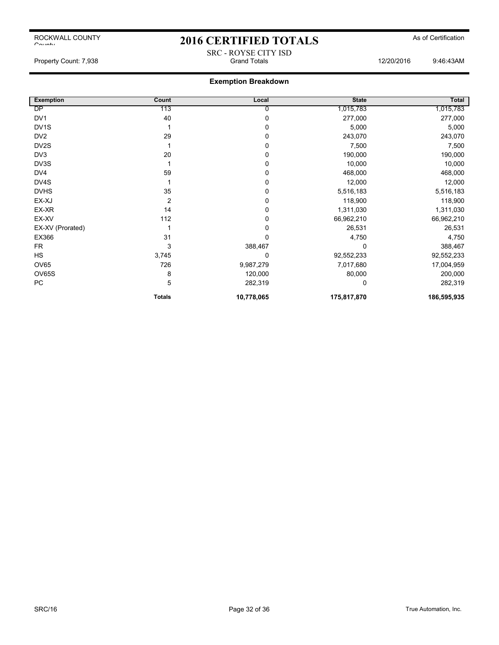ROCKWALL COUNTY

# 2016 CERTIFIED TOTALS As of Certification SRC - ROYSE CITY ISD

## **Exemption Breakdown**

| <b>Exemption</b>  | Count          | Local      | <b>State</b> | Total       |
|-------------------|----------------|------------|--------------|-------------|
| DP                | 113            | 0          | 1,015,783    | 1,015,783   |
| DV1               | 40             | 0          | 277,000      | 277,000     |
| DV <sub>1</sub> S |                | 0          | 5,000        | 5,000       |
| DV <sub>2</sub>   | 29             | 0          | 243,070      | 243,070     |
| DV <sub>2</sub> S |                | 0          | 7,500        | 7,500       |
| DV3               | 20             | 0          | 190,000      | 190,000     |
| DV3S              |                | 0          | 10,000       | 10,000      |
| DV <sub>4</sub>   | 59             | 0          | 468,000      | 468,000     |
| DV4S              |                | 0          | 12,000       | 12,000      |
| <b>DVHS</b>       | 35             | 0          | 5,516,183    | 5,516,183   |
| EX-XJ             | $\overline{2}$ | 0          | 118,900      | 118,900     |
| EX-XR             | 14             | 0          | 1,311,030    | 1,311,030   |
| EX-XV             | 112            | 0          | 66,962,210   | 66,962,210  |
| EX-XV (Prorated)  |                | 0          | 26,531       | 26,531      |
| EX366             | 31             | 0          | 4,750        | 4,750       |
| <b>FR</b>         | 3              | 388,467    | 0            | 388,467     |
| <b>HS</b>         | 3,745          | 0          | 92,552,233   | 92,552,233  |
| <b>OV65</b>       | 726            | 9,987,279  | 7,017,680    | 17,004,959  |
| OV65S             | 8              | 120,000    | 80,000       | 200,000     |
| PC                | 5              | 282,319    | 0            | 282,319     |
|                   | <b>Totals</b>  | 10,778,065 | 175,817,870  | 186,595,935 |

 $C$ ounty

Property Count: 7,938 **Stand Totals** Grand Totals 12/20/2016 9:46:43AM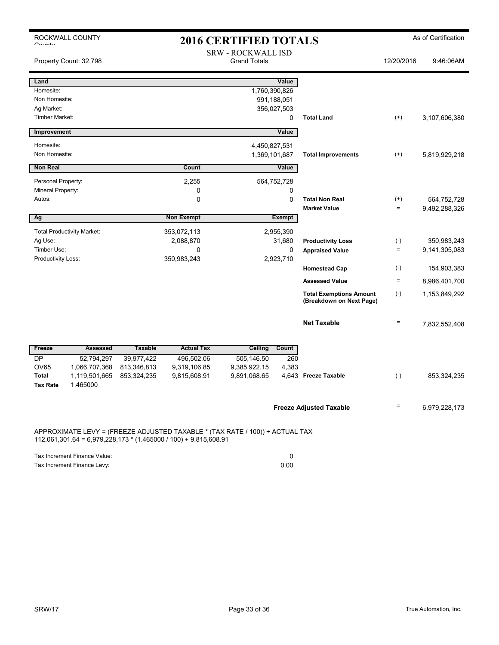| $O_{\text{a},\text{m},\text{b}}$                                                                                                                   | ROCKWALL COUNTY                   | <b>2016 CERTIFIED TOTALS</b>                     |                                |               | As of Certification  |                                                            |                   |               |
|----------------------------------------------------------------------------------------------------------------------------------------------------|-----------------------------------|--------------------------------------------------|--------------------------------|---------------|----------------------|------------------------------------------------------------|-------------------|---------------|
|                                                                                                                                                    | Property Count: 32,798            | <b>SRW - ROCKWALL ISD</b><br><b>Grand Totals</b> |                                |               | 12/20/2016           | 9:46:06AM                                                  |                   |               |
| Land<br>Homesite:<br>Non Homesite:                                                                                                                 |                                   |                                                  |                                | 1,760,390,826 | Value<br>991,188,051 |                                                            |                   |               |
| Ag Market:<br>Timber Market:                                                                                                                       |                                   |                                                  |                                |               | 356,027,503<br>0     | <b>Total Land</b>                                          | $(+)$             | 3,107,606,380 |
| Improvement                                                                                                                                        |                                   |                                                  |                                |               | Value                |                                                            |                   |               |
| Homesite:<br>Non Homesite:                                                                                                                         |                                   |                                                  | 4,450,827,531<br>1,369,101,687 |               |                      | <b>Total Improvements</b>                                  | $^{(+)}$          | 5,819,929,218 |
| <b>Non Real</b>                                                                                                                                    |                                   |                                                  | Count                          |               | Value                |                                                            |                   |               |
| Personal Property:<br>Mineral Property:                                                                                                            |                                   |                                                  | 2,255<br>0                     |               | 564,752,728<br>0     |                                                            |                   |               |
| Autos:                                                                                                                                             |                                   |                                                  | 0                              |               | 0                    | <b>Total Non Real</b>                                      | $(+)$             | 564,752,728   |
| Ag                                                                                                                                                 |                                   |                                                  | <b>Non Exempt</b>              |               | <b>Exempt</b>        | <b>Market Value</b>                                        | $\equiv$          | 9,492,288,326 |
|                                                                                                                                                    |                                   |                                                  |                                |               |                      |                                                            |                   |               |
| Ag Use:                                                                                                                                            | <b>Total Productivity Market:</b> |                                                  | 353,072,113<br>2,088,870       |               | 2,955,390<br>31,680  | <b>Productivity Loss</b>                                   | $(\text{-})$      | 350,983,243   |
| Timber Use:                                                                                                                                        |                                   |                                                  | 0                              |               | 0                    | <b>Appraised Value</b>                                     | $\equiv$          | 9,141,305,083 |
| Productivity Loss:                                                                                                                                 |                                   |                                                  | 350,983,243                    |               | 2,923,710            |                                                            |                   |               |
|                                                                                                                                                    |                                   |                                                  |                                |               |                      | <b>Homestead Cap</b>                                       | $(\cdot)$         | 154,903,383   |
|                                                                                                                                                    |                                   |                                                  |                                |               |                      | <b>Assessed Value</b>                                      | $\equiv$          | 8,986,401,700 |
|                                                                                                                                                    |                                   |                                                  |                                |               |                      | <b>Total Exemptions Amount</b><br>(Breakdown on Next Page) | $(-)$             | 1,153,849,292 |
|                                                                                                                                                    |                                   |                                                  |                                |               |                      | <b>Net Taxable</b>                                         | $\qquad \qquad =$ | 7,832,552,408 |
| Freeze                                                                                                                                             | <b>Assessed</b>                   | <b>Taxable</b>                                   | <b>Actual Tax</b>              | Ceiling       | <b>Count</b>         |                                                            |                   |               |
| <b>DP</b>                                                                                                                                          | 52,794,297                        | 39,977,422                                       | 496,502.06                     | 505,146.50    | 260                  |                                                            |                   |               |
| <b>OV65</b>                                                                                                                                        | 1,066,707,368                     | 813,346,813                                      | 9,319,106.85                   | 9,385,922.15  | 4,383                |                                                            |                   |               |
| Total<br><b>Tax Rate</b>                                                                                                                           | 1,119,501,665<br>1.465000         | 853,324,235                                      | 9,815,608.91                   | 9,891,068.65  |                      | 4.643 Freeze Taxable                                       | $(-)$             | 853,324,235   |
|                                                                                                                                                    |                                   |                                                  |                                |               |                      | <b>Freeze Adjusted Taxable</b>                             |                   | 6,979,228,173 |
| APPROXIMATE LEVY = (FREEZE ADJUSTED TAXABLE * (TAX RATE / 100)) + ACTUAL TAX<br>$112,061,301.64 = 6,979,228,173 * (1.465000 / 100) + 9,815,608.91$ |                                   |                                                  |                                |               |                      |                                                            |                   |               |

| Tax Increment Finance Value: |      |
|------------------------------|------|
| Tax Increment Finance Levy:  | 0.00 |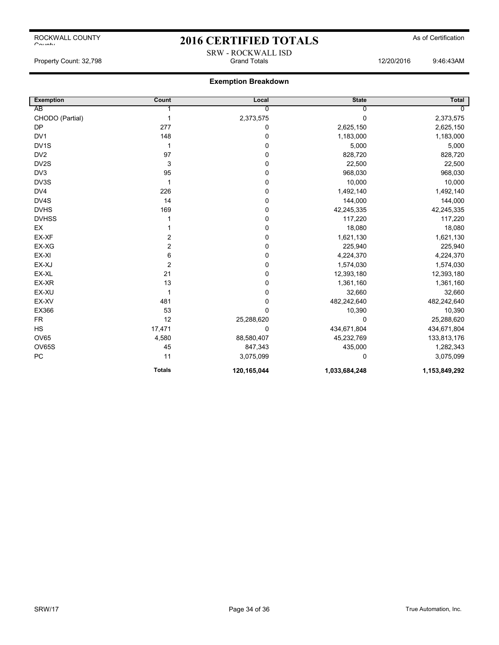## 2016 CERTIFIED TOTALS As of Certification SRW - ROCKWALL ISD

Property Count: 32,798 Grand Totals 12/20/2016 9:46:43AM

| <b>Exemption</b>  | Count                   | Local       | <b>State</b>  | Total         |
|-------------------|-------------------------|-------------|---------------|---------------|
| AB                |                         | 0           | 0             |               |
| CHODO (Partial)   | 1                       | 2,373,575   | 0             | 2,373,575     |
| <b>DP</b>         | 277                     | 0           | 2,625,150     | 2,625,150     |
| DV <sub>1</sub>   | 148                     | 0           | 1,183,000     | 1,183,000     |
| DV <sub>1</sub> S | 1                       | 0           | 5,000         | 5,000         |
| DV <sub>2</sub>   | 97                      | 0           | 828,720       | 828,720       |
| DV2S              | 3                       | 0           | 22,500        | 22,500        |
| DV <sub>3</sub>   | 95                      | 0           | 968,030       | 968,030       |
| DV3S              | 1                       | 0           | 10,000        | 10,000        |
| DV4               | 226                     | 0           | 1,492,140     | 1,492,140     |
| DV4S              | 14                      | 0           | 144,000       | 144,000       |
| <b>DVHS</b>       | 169                     | 0           | 42,245,335    | 42,245,335    |
| <b>DVHSS</b>      |                         | 0           | 117,220       | 117,220       |
| EX                |                         | 0           | 18,080        | 18,080        |
| EX-XF             | 2                       | 0           | 1,621,130     | 1,621,130     |
| EX-XG             | $\overline{\mathbf{c}}$ | 0           | 225,940       | 225,940       |
| EX-XI             | 6                       | 0           | 4,224,370     | 4,224,370     |
| EX-XJ             | $\overline{\mathbf{c}}$ | 0           | 1,574,030     | 1,574,030     |
| EX-XL             | 21                      | 0           | 12,393,180    | 12,393,180    |
| EX-XR             | 13                      | 0           | 1,361,160     | 1,361,160     |
| EX-XU             | 1                       | 0           | 32,660        | 32,660        |
| EX-XV             | 481                     | 0           | 482,242,640   | 482,242,640   |
| EX366             | 53                      | 0           | 10,390        | 10,390        |
| <b>FR</b>         | 12                      | 25,288,620  | $\Omega$      | 25,288,620    |
| <b>HS</b>         | 17,471                  | 0           | 434,671,804   | 434,671,804   |
| OV65              | 4,580                   | 88,580,407  | 45,232,769    | 133,813,176   |
| OV65S             | 45                      | 847,343     | 435,000       | 1,282,343     |
| PC                | 11                      | 3,075,099   | $\mathbf 0$   | 3,075,099     |
|                   | <b>Totals</b>           | 120,165,044 | 1,033,684,248 | 1,153,849,292 |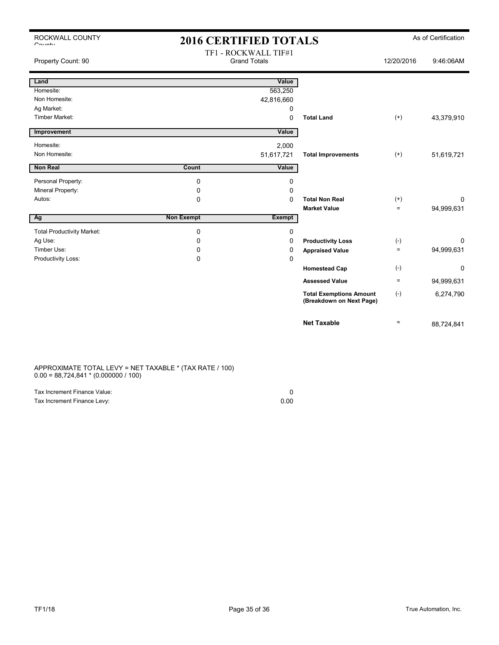| ROCKWALL COUNTY              |  |
|------------------------------|--|
| $C_{\alpha i},\ldots,\ldots$ |  |

## 2016 CERTIFIED TOTALS As of Certification TF1 - ROCKWALL TIF#1

| Property Count: 90                |                   | $ITI = NUCNWALL IIFHI$<br><b>Grand Totals</b> |                                                            | 12/20/2016        | 9:46:06AM   |
|-----------------------------------|-------------------|-----------------------------------------------|------------------------------------------------------------|-------------------|-------------|
| Land                              |                   | Value                                         |                                                            |                   |             |
| Homesite:                         |                   | 563,250                                       |                                                            |                   |             |
| Non Homesite:                     |                   | 42,816,660                                    |                                                            |                   |             |
| Ag Market:                        |                   | 0                                             |                                                            |                   |             |
| <b>Timber Market:</b>             |                   | 0                                             | <b>Total Land</b>                                          | $(+)$             | 43,379,910  |
| Improvement                       |                   | Value                                         |                                                            |                   |             |
| Homesite:                         |                   | 2,000                                         |                                                            |                   |             |
| Non Homesite:                     |                   | 51,617,721                                    | <b>Total Improvements</b>                                  | $(+)$             | 51,619,721  |
| Non Real                          | Count             | Value                                         |                                                            |                   |             |
| Personal Property:                | 0                 | 0                                             |                                                            |                   |             |
| Mineral Property:                 | 0                 | 0                                             |                                                            |                   |             |
| Autos:                            | 0                 | 0                                             | <b>Total Non Real</b>                                      | $^{(+)}$          | 0           |
|                                   |                   |                                               | <b>Market Value</b>                                        | $=$               | 94,999,631  |
| Ag                                | <b>Non Exempt</b> | <b>Exempt</b>                                 |                                                            |                   |             |
| <b>Total Productivity Market:</b> | 0                 | 0                                             |                                                            |                   |             |
| Ag Use:                           | 0                 | 0                                             | <b>Productivity Loss</b>                                   | $(-)$             | 0           |
| Timber Use:                       | 0                 | 0                                             | <b>Appraised Value</b>                                     | $=$               | 94,999,631  |
| Productivity Loss:                | 0                 | 0                                             |                                                            |                   |             |
|                                   |                   |                                               | <b>Homestead Cap</b>                                       | $(\text{-})$      | $\mathbf 0$ |
|                                   |                   |                                               | <b>Assessed Value</b>                                      | $\equiv$          | 94,999,631  |
|                                   |                   |                                               | <b>Total Exemptions Amount</b><br>(Breakdown on Next Page) | $(-)$             | 6,274,790   |
|                                   |                   |                                               | <b>Net Taxable</b>                                         | $\qquad \qquad =$ | 88,724,841  |

APPROXIMATE TOTAL LEVY = NET TAXABLE \* (TAX RATE / 100) 0.00 = 88,724,841 \* (0.000000 / 100)

| Tax Increment Finance Value: |      |
|------------------------------|------|
| Tax Increment Finance Levy:  | 0.00 |